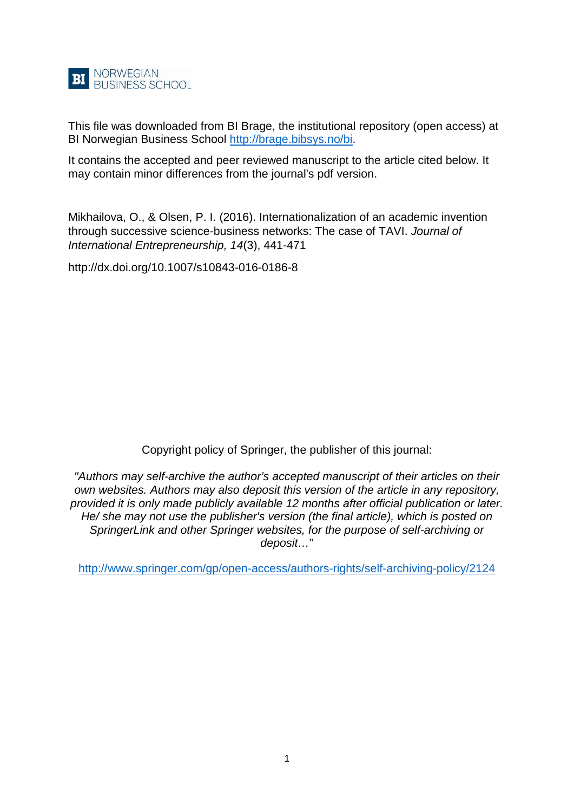

This file was downloaded from BI Brage, the institutional repository (open access) at BI Norwegian Business School [http://brage.bibsys.no/bi.](http://brage.bibsys.no/bi)

It contains the accepted and peer reviewed manuscript to the article cited below. It may contain minor differences from the journal's pdf version.

Mikhailova, O., & Olsen, P. I. (2016). Internationalization of an academic invention through successive science-business networks: The case of TAVI. *Journal of International Entrepreneurship, 14*(3), 441-471

[http://dx.doi.org/10.1007/s10843-016-](http://dx.doi.org/10.1007/s10843-016)0186-8

Copyright policy of Springer, the publisher of this journal:

*"Authors may self-archive the author's accepted manuscript of their articles on their own websites. Authors may also deposit this version of the article in any repository, provided it is only made publicly available 12 months after official publication or later. He/ she may not use the publisher's version (the final article), which is posted on SpringerLink and other Springer websites, for the purpose of self-archiving or deposit…*"

<http://www.springer.com/gp/open-access/authors-rights/self-archiving-policy/2124>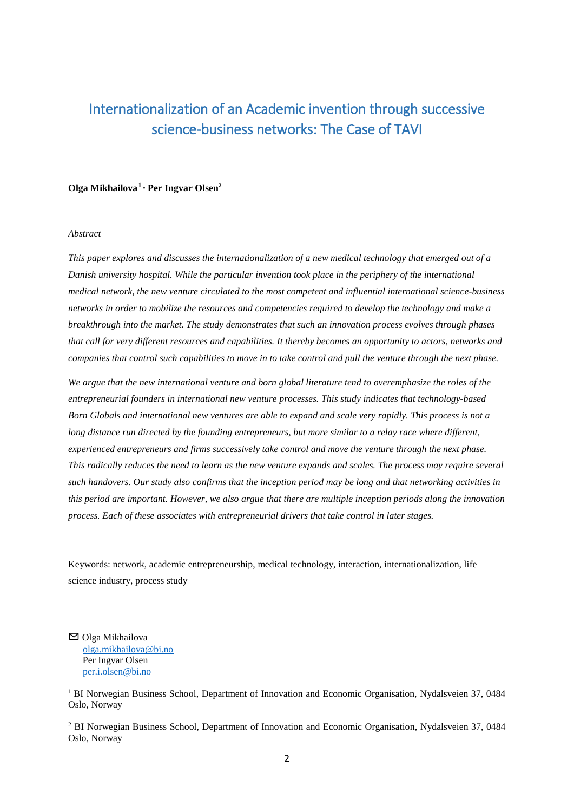# Internationalization of an Academic invention through successive science-business networks: The Case of TAVI

# **Olga Mikhailova[1](#page-1-0) ∙ Per Ingvar Olsen2**

# *Abstract*

*This paper explores and discusses the internationalization of a new medical technology that emerged out of a Danish university hospital. While the particular invention took place in the periphery of the international medical network, the new venture circulated to the most competent and influential international science-business networks in order to mobilize the resources and competencies required to develop the technology and make a breakthrough into the market. The study demonstrates that such an innovation process evolves through phases that call for very different resources and capabilities. It thereby becomes an opportunity to actors, networks and companies that control such capabilities to move in to take control and pull the venture through the next phase.* 

*We argue that the new international venture and born global literature tend to overemphasize the roles of the entrepreneurial founders in international new venture processes. This study indicates that technology-based Born Globals and international new ventures are able to expand and scale very rapidly. This process is not a long distance run directed by the founding entrepreneurs, but more similar to a relay race where different, experienced entrepreneurs and firms successively take control and move the venture through the next phase. This radically reduces the need to learn as the new venture expands and scales. The process may require several such handovers. Our study also confirms that the inception period may be long and that networking activities in this period are important. However, we also argue that there are multiple inception periods along the innovation process. Each of these associates with entrepreneurial drivers that take control in later stages.* 

Keywords: network, academic entrepreneurship, medical technology, interaction, internationalization, life science industry, process study

<span id="page-1-0"></span>✉ Olga Mikhailova [olga.mikhailova@bi.no](mailto:olga.mikhailova@bi.no) Per Ingvar Olsen per.i.olsen@bi.no

 $\overline{a}$ 

<sup>&</sup>lt;sup>1</sup> BI Norwegian Business School, Department of Innovation and Economic Organisation, Nydalsveien 37, 0484 Oslo, Norway

<sup>2</sup> BI Norwegian Business School, Department of Innovation and Economic Organisation, Nydalsveien 37, 0484 Oslo, Norway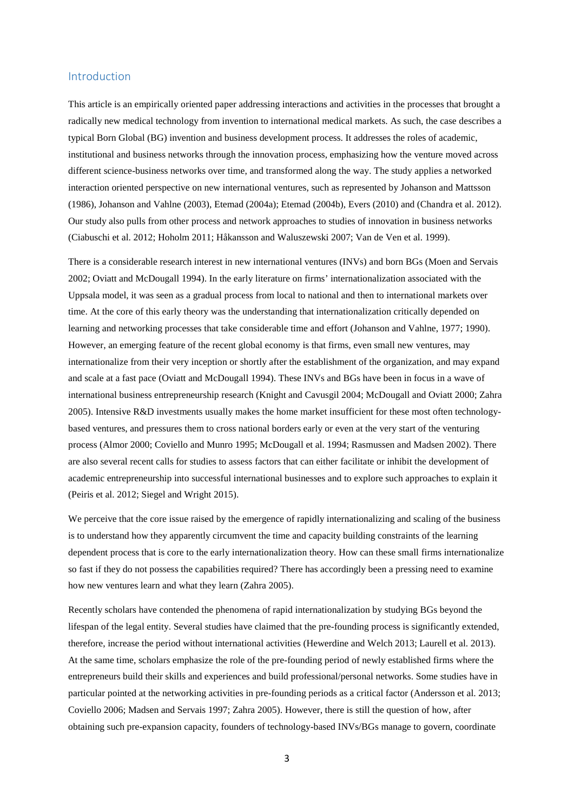# Introduction

This article is an empirically oriented paper addressing interactions and activities in the processes that brought a radically new medical technology from invention to international medical markets. As such, the case describes a typical Born Global (BG) invention and business development process. It addresses the roles of academic, institutional and business networks through the innovation process, emphasizing how the venture moved across different science-business networks over time, and transformed along the way. The study applies a networked interaction oriented perspective on new international ventures, such as represented by Johanson and Mattsson (1986), Johanson and Vahlne (2003), Etemad (2004a); Etemad (2004b), Evers (2010) and (Chandra et al. 2012). Our study also pulls from other process and network approaches to studies of innovation in business networks (Ciabuschi et al. 2012; Hoholm 2011; Håkansson and Waluszewski 2007; Van de Ven et al. 1999).

There is a considerable research interest in new international ventures (INVs) and born BGs (Moen and Servais 2002; Oviatt and McDougall 1994). In the early literature on firms' internationalization associated with the Uppsala model, it was seen as a gradual process from local to national and then to international markets over time. At the core of this early theory was the understanding that internationalization critically depended on learning and networking processes that take considerable time and effort (Johanson and Vahlne, 1977; 1990). However, an emerging feature of the recent global economy is that firms, even small new ventures, may internationalize from their very inception or shortly after the establishment of the organization, and may expand and scale at a fast pace (Oviatt and McDougall 1994). These INVs and BGs have been in focus in a wave of international business entrepreneurship research (Knight and Cavusgil 2004; McDougall and Oviatt 2000; Zahra 2005). Intensive R&D investments usually makes the home market insufficient for these most often technologybased ventures, and pressures them to cross national borders early or even at the very start of the venturing process (Almor 2000; Coviello and Munro 1995; McDougall et al. 1994; Rasmussen and Madsen 2002). There are also several recent calls for studies to assess factors that can either facilitate or inhibit the development of academic entrepreneurship into successful international businesses and to explore such approaches to explain it (Peiris et al. 2012; Siegel and Wright 2015).

We perceive that the core issue raised by the emergence of rapidly internationalizing and scaling of the business is to understand how they apparently circumvent the time and capacity building constraints of the learning dependent process that is core to the early internationalization theory. How can these small firms internationalize so fast if they do not possess the capabilities required? There has accordingly been a pressing need to examine how new ventures learn and what they learn (Zahra 2005).

Recently scholars have contended the phenomena of rapid internationalization by studying BGs beyond the lifespan of the legal entity. Several studies have claimed that the pre-founding process is significantly extended, therefore, increase the period without international activities (Hewerdine and Welch 2013; Laurell et al. 2013). At the same time, scholars emphasize the role of the pre-founding period of newly established firms where the entrepreneurs build their skills and experiences and build professional/personal networks. Some studies have in particular pointed at the networking activities in pre-founding periods as a critical factor (Andersson et al. 2013; Coviello 2006; Madsen and Servais 1997; Zahra 2005). However, there is still the question of how, after obtaining such pre-expansion capacity, founders of technology-based INVs/BGs manage to govern, coordinate

3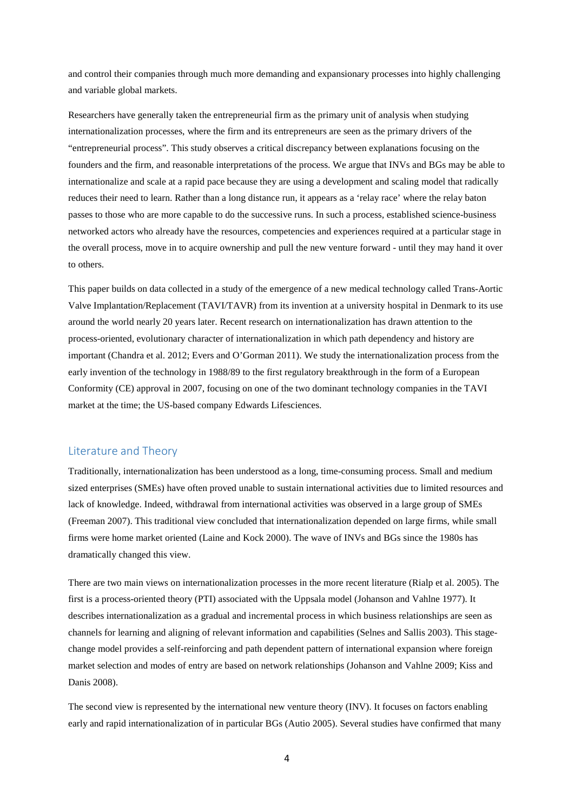and control their companies through much more demanding and expansionary processes into highly challenging and variable global markets.

Researchers have generally taken the entrepreneurial firm as the primary unit of analysis when studying internationalization processes, where the firm and its entrepreneurs are seen as the primary drivers of the "entrepreneurial process". This study observes a critical discrepancy between explanations focusing on the founders and the firm, and reasonable interpretations of the process. We argue that INVs and BGs may be able to internationalize and scale at a rapid pace because they are using a development and scaling model that radically reduces their need to learn. Rather than a long distance run, it appears as a 'relay race' where the relay baton passes to those who are more capable to do the successive runs. In such a process, established science-business networked actors who already have the resources, competencies and experiences required at a particular stage in the overall process, move in to acquire ownership and pull the new venture forward - until they may hand it over to others.

This paper builds on data collected in a study of the emergence of a new medical technology called Trans-Aortic Valve Implantation/Replacement (TAVI/TAVR) from its invention at a university hospital in Denmark to its use around the world nearly 20 years later. Recent research on internationalization has drawn attention to the process-oriented, evolutionary character of internationalization in which path dependency and history are important (Chandra et al. 2012; Evers and O'Gorman 2011). We study the internationalization process from the early invention of the technology in 1988/89 to the first regulatory breakthrough in the form of a European Conformity (CE) approval in 2007, focusing on one of the two dominant technology companies in the TAVI market at the time; the US-based company Edwards Lifesciences.

# Literature and Theory

Traditionally, internationalization has been understood as a long, time-consuming process. Small and medium sized enterprises (SMEs) have often proved unable to sustain international activities due to limited resources and lack of knowledge. Indeed, withdrawal from international activities was observed in a large group of SMEs (Freeman 2007). This traditional view concluded that internationalization depended on large firms, while small firms were home market oriented (Laine and Kock 2000). The wave of INVs and BGs since the 1980s has dramatically changed this view.

There are two main views on internationalization processes in the more recent literature (Rialp et al. 2005). The first is a process-oriented theory (PTI) associated with the Uppsala model (Johanson and Vahlne 1977). It describes internationalization as a gradual and incremental process in which business relationships are seen as channels for learning and aligning of relevant information and capabilities (Selnes and Sallis 2003). This stagechange model provides a self-reinforcing and path dependent pattern of international expansion where foreign market selection and modes of entry are based on network relationships (Johanson and Vahlne 2009; Kiss and Danis 2008).

The second view is represented by the international new venture theory (INV). It focuses on factors enabling early and rapid internationalization of in particular BGs (Autio 2005). Several studies have confirmed that many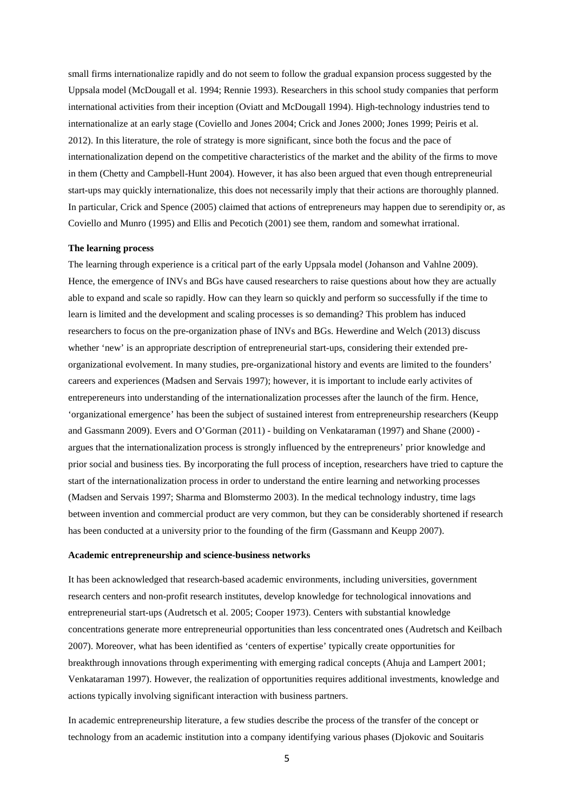small firms internationalize rapidly and do not seem to follow the gradual expansion process suggested by the Uppsala model (McDougall et al. 1994; Rennie 1993). Researchers in this school study companies that perform international activities from their inception (Oviatt and McDougall 1994). High-technology industries tend to internationalize at an early stage (Coviello and Jones 2004; Crick and Jones 2000; Jones 1999; Peiris et al. 2012). In this literature, the role of strategy is more significant, since both the focus and the pace of internationalization depend on the competitive characteristics of the market and the ability of the firms to move in them (Chetty and Campbell-Hunt 2004). However, it has also been argued that even though entrepreneurial start-ups may quickly internationalize, this does not necessarily imply that their actions are thoroughly planned. In particular, Crick and Spence (2005) claimed that actions of entrepreneurs may happen due to serendipity or, as Coviello and Munro (1995) and Ellis and Pecotich (2001) see them, random and somewhat irrational.

## **The learning process**

The learning through experience is a critical part of the early Uppsala model (Johanson and Vahlne 2009). Hence, the emergence of INVs and BGs have caused researchers to raise questions about how they are actually able to expand and scale so rapidly. How can they learn so quickly and perform so successfully if the time to learn is limited and the development and scaling processes is so demanding? This problem has induced researchers to focus on the pre-organization phase of INVs and BGs. Hewerdine and Welch (2013) discuss whether 'new' is an appropriate description of entrepreneurial start-ups, considering their extended preorganizational evolvement. In many studies, pre-organizational history and events are limited to the founders' careers and experiences (Madsen and Servais 1997); however, it is important to include early activites of entrepereneurs into understanding of the internationalization processes after the launch of the firm. Hence, 'organizational emergence' has been the subject of sustained interest from entrepreneurship researchers (Keupp and Gassmann 2009). Evers and O'Gorman (2011) - building on Venkataraman (1997) and Shane (2000) argues that the internationalization process is strongly influenced by the entrepreneurs' prior knowledge and prior social and business ties. By incorporating the full process of inception, researchers have tried to capture the start of the internationalization process in order to understand the entire learning and networking processes (Madsen and Servais 1997; Sharma and Blomstermo 2003). In the medical technology industry, time lags between invention and commercial product are very common, but they can be considerably shortened if research has been conducted at a university prior to the founding of the firm (Gassmann and Keupp 2007).

### **Academic entrepreneurship and science-business networks**

It has been acknowledged that research-based academic environments, including universities, government research centers and non-profit research institutes, develop knowledge for technological innovations and entrepreneurial start-ups (Audretsch et al. 2005; Cooper 1973). Centers with substantial knowledge concentrations generate more entrepreneurial opportunities than less concentrated ones (Audretsch and Keilbach 2007). Moreover, what has been identified as 'centers of expertise' typically create opportunities for breakthrough innovations through experimenting with emerging radical concepts (Ahuja and Lampert 2001; Venkataraman 1997). However, the realization of opportunities requires additional investments, knowledge and actions typically involving significant interaction with business partners.

In academic entrepreneurship literature, a few studies describe the process of the transfer of the concept or technology from an academic institution into a company identifying various phases (Djokovic and Souitaris

5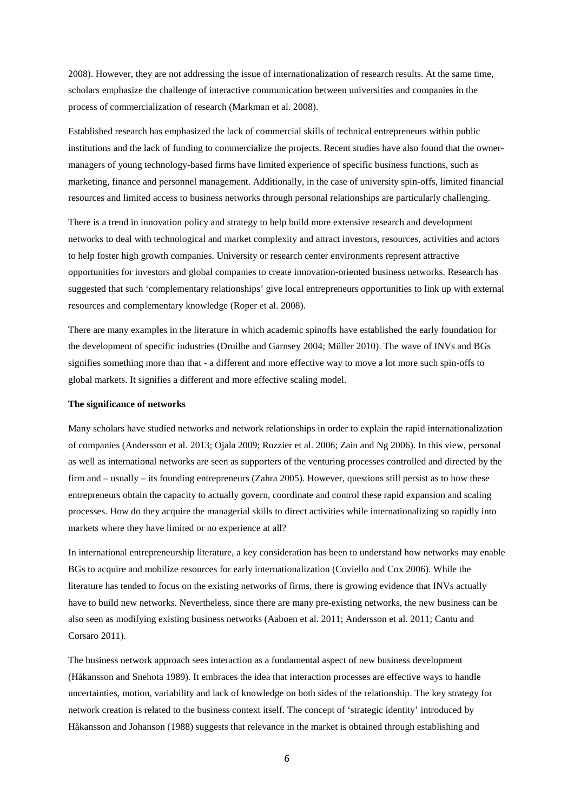2008). However, they are not addressing the issue of internationalization of research results. At the same time, scholars emphasize the challenge of interactive communication between universities and companies in the process of commercialization of research (Markman et al. 2008).

Established research has emphasized the lack of commercial skills of technical entrepreneurs within public institutions and the lack of funding to commercialize the projects. Recent studies have also found that the ownermanagers of young technology-based firms have limited experience of specific business functions, such as marketing, finance and personnel management. Additionally, in the case of university spin-offs, limited financial resources and limited access to business networks through personal relationships are particularly challenging.

There is a trend in innovation policy and strategy to help build more extensive research and development networks to deal with technological and market complexity and attract investors, resources, activities and actors to help foster high growth companies. University or research center environments represent attractive opportunities for investors and global companies to create innovation-oriented business networks. Research has suggested that such 'complementary relationships' give local entrepreneurs opportunities to link up with external resources and complementary knowledge (Roper et al. 2008).

There are many examples in the literature in which academic spinoffs have established the early foundation for the development of specific industries (Druilhe and Garnsey 2004; Müller 2010). The wave of INVs and BGs signifies something more than that - a different and more effective way to move a lot more such spin-offs to global markets. It signifies a different and more effective scaling model.

#### **The significance of networks**

Many scholars have studied networks and network relationships in order to explain the rapid internationalization of companies (Andersson et al. 2013; Ojala 2009; Ruzzier et al. 2006; Zain and Ng 2006). In this view, personal as well as international networks are seen as supporters of the venturing processes controlled and directed by the firm and – usually – its founding entrepreneurs (Zahra 2005). However, questions still persist as to how these entrepreneurs obtain the capacity to actually govern, coordinate and control these rapid expansion and scaling processes. How do they acquire the managerial skills to direct activities while internationalizing so rapidly into markets where they have limited or no experience at all?

In international entrepreneurship literature, a key consideration has been to understand how networks may enable BGs to acquire and mobilize resources for early internationalization (Coviello and Cox 2006). While the literature has tended to focus on the existing networks of firms, there is growing evidence that INVs actually have to build new networks. Nevertheless, since there are many pre-existing networks, the new business can be also seen as modifying existing business networks (Aaboen et al. 2011; Andersson et al. 2011; Cantu and Corsaro 2011).

The business network approach sees interaction as a fundamental aspect of new business development (Håkansson and Snehota 1989). It embraces the idea that interaction processes are effective ways to handle uncertainties, motion, variability and lack of knowledge on both sides of the relationship. The key strategy for network creation is related to the business context itself. The concept of 'strategic identity' introduced by Håkansson and Johanson (1988) suggests that relevance in the market is obtained through establishing and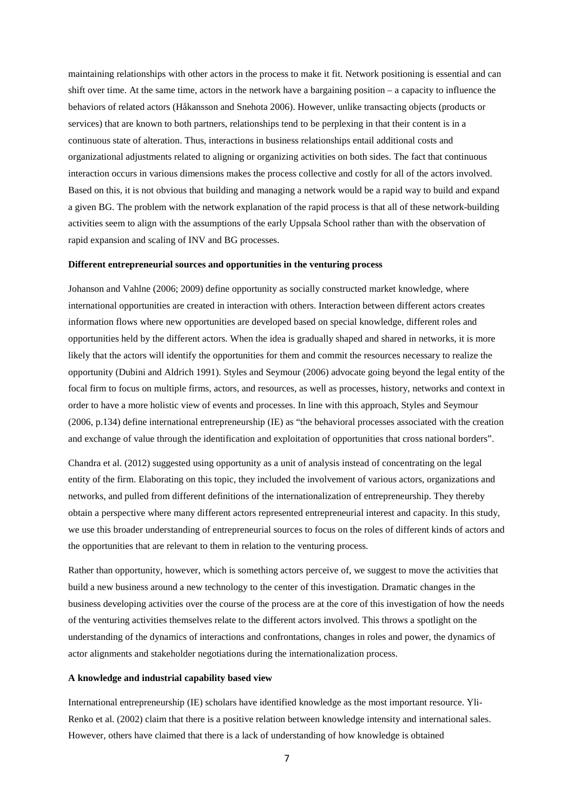maintaining relationships with other actors in the process to make it fit. Network positioning is essential and can shift over time. At the same time, actors in the network have a bargaining position – a capacity to influence the behaviors of related actors (Håkansson and Snehota 2006). However, unlike transacting objects (products or services) that are known to both partners, relationships tend to be perplexing in that their content is in a continuous state of alteration. Thus, interactions in business relationships entail additional costs and organizational adjustments related to aligning or organizing activities on both sides. The fact that continuous interaction occurs in various dimensions makes the process collective and costly for all of the actors involved. Based on this, it is not obvious that building and managing a network would be a rapid way to build and expand a given BG. The problem with the network explanation of the rapid process is that all of these network-building activities seem to align with the assumptions of the early Uppsala School rather than with the observation of rapid expansion and scaling of INV and BG processes.

### **Different entrepreneurial sources and opportunities in the venturing process**

Johanson and Vahlne (2006; 2009) define opportunity as socially constructed market knowledge, where international opportunities are created in interaction with others. Interaction between different actors creates information flows where new opportunities are developed based on special knowledge, different roles and opportunities held by the different actors. When the idea is gradually shaped and shared in networks, it is more likely that the actors will identify the opportunities for them and commit the resources necessary to realize the opportunity (Dubini and Aldrich 1991). Styles and Seymour (2006) advocate going beyond the legal entity of the focal firm to focus on multiple firms, actors, and resources, as well as processes, history, networks and context in order to have a more holistic view of events and processes. In line with this approach, Styles and Seymour (2006, p.134) define international entrepreneurship (IE) as "the behavioral processes associated with the creation and exchange of value through the identification and exploitation of opportunities that cross national borders".

Chandra et al. (2012) suggested using opportunity as a unit of analysis instead of concentrating on the legal entity of the firm. Elaborating on this topic, they included the involvement of various actors, organizations and networks, and pulled from different definitions of the internationalization of entrepreneurship. They thereby obtain a perspective where many different actors represented entrepreneurial interest and capacity. In this study, we use this broader understanding of entrepreneurial sources to focus on the roles of different kinds of actors and the opportunities that are relevant to them in relation to the venturing process.

Rather than opportunity, however, which is something actors perceive of, we suggest to move the activities that build a new business around a new technology to the center of this investigation. Dramatic changes in the business developing activities over the course of the process are at the core of this investigation of how the needs of the venturing activities themselves relate to the different actors involved. This throws a spotlight on the understanding of the dynamics of interactions and confrontations, changes in roles and power, the dynamics of actor alignments and stakeholder negotiations during the internationalization process.

#### **A knowledge and industrial capability based view**

International entrepreneurship (IE) scholars have identified knowledge as the most important resource. Yli-Renko et al. (2002) claim that there is a positive relation between knowledge intensity and international sales. However, others have claimed that there is a lack of understanding of how knowledge is obtained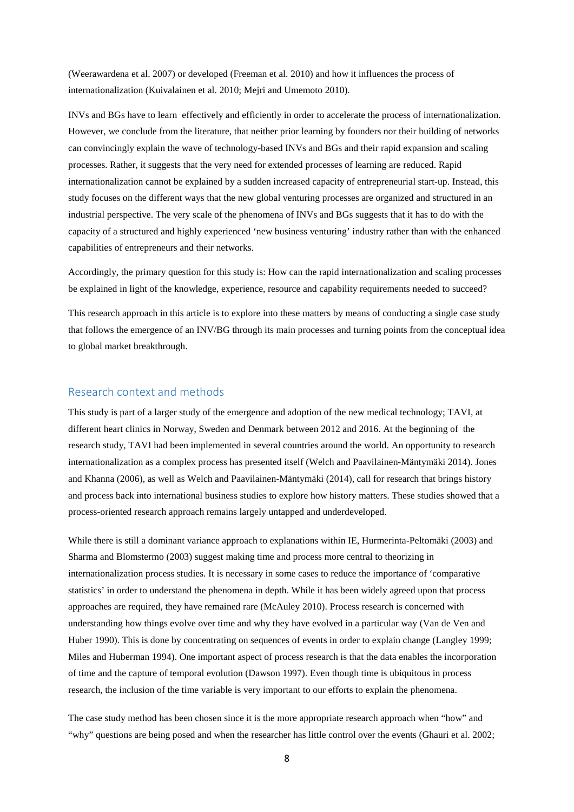(Weerawardena et al. 2007) or developed (Freeman et al. 2010) and how it influences the process of internationalization (Kuivalainen et al. 2010; Mejri and Umemoto 2010).

INVs and BGs have to learn effectively and efficiently in order to accelerate the process of internationalization. However, we conclude from the literature, that neither prior learning by founders nor their building of networks can convincingly explain the wave of technology-based INVs and BGs and their rapid expansion and scaling processes. Rather, it suggests that the very need for extended processes of learning are reduced. Rapid internationalization cannot be explained by a sudden increased capacity of entrepreneurial start-up. Instead, this study focuses on the different ways that the new global venturing processes are organized and structured in an industrial perspective. The very scale of the phenomena of INVs and BGs suggests that it has to do with the capacity of a structured and highly experienced 'new business venturing' industry rather than with the enhanced capabilities of entrepreneurs and their networks.

Accordingly, the primary question for this study is: How can the rapid internationalization and scaling processes be explained in light of the knowledge, experience, resource and capability requirements needed to succeed?

This research approach in this article is to explore into these matters by means of conducting a single case study that follows the emergence of an INV/BG through its main processes and turning points from the conceptual idea to global market breakthrough.

# Research context and methods

This study is part of a larger study of the emergence and adoption of the new medical technology; TAVI, at different heart clinics in Norway, Sweden and Denmark between 2012 and 2016. At the beginning of the research study, TAVI had been implemented in several countries around the world. An opportunity to research internationalization as a complex process has presented itself (Welch and Paavilainen-Mäntymäki 2014). Jones and Khanna (2006), as well as Welch and Paavilainen-Mäntymäki (2014), call for research that brings history and process back into international business studies to explore how history matters. These studies showed that a process-oriented research approach remains largely untapped and underdeveloped.

While there is still a dominant variance approach to explanations within IE, Hurmerinta-Peltomäki (2003) and Sharma and Blomstermo (2003) suggest making time and process more central to theorizing in internationalization process studies. It is necessary in some cases to reduce the importance of 'comparative statistics' in order to understand the phenomena in depth. While it has been widely agreed upon that process approaches are required, they have remained rare (McAuley 2010). Process research is concerned with understanding how things evolve over time and why they have evolved in a particular way (Van de Ven and Huber 1990). This is done by concentrating on sequences of events in order to explain change (Langley 1999; Miles and Huberman 1994). One important aspect of process research is that the data enables the incorporation of time and the capture of temporal evolution (Dawson 1997). Even though time is ubiquitous in process research, the inclusion of the time variable is very important to our efforts to explain the phenomena.

The case study method has been chosen since it is the more appropriate research approach when "how" and "why" questions are being posed and when the researcher has little control over the events (Ghauri et al. 2002;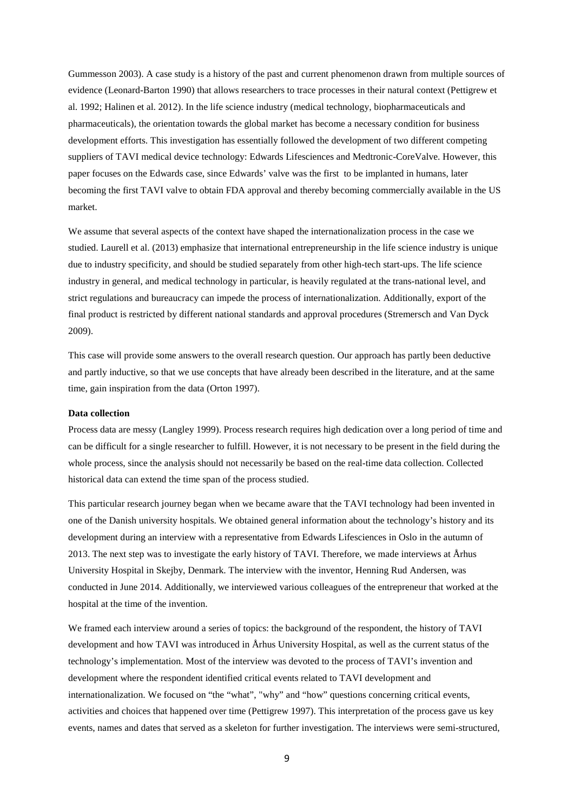Gummesson 2003). A case study is a history of the past and current phenomenon drawn from multiple sources of evidence (Leonard-Barton 1990) that allows researchers to trace processes in their natural context (Pettigrew et al. 1992; Halinen et al. 2012). In the life science industry (medical technology, biopharmaceuticals and pharmaceuticals), the orientation towards the global market has become a necessary condition for business development efforts. This investigation has essentially followed the development of two different competing suppliers of TAVI medical device technology: Edwards Lifesciences and Medtronic-CoreValve. However, this paper focuses on the Edwards case, since Edwards' valve was the first to be implanted in humans, later becoming the first TAVI valve to obtain FDA approval and thereby becoming commercially available in the US market.

We assume that several aspects of the context have shaped the internationalization process in the case we studied. Laurell et al. (2013) emphasize that international entrepreneurship in the life science industry is unique due to industry specificity, and should be studied separately from other high-tech start-ups. The life science industry in general, and medical technology in particular, is heavily regulated at the trans-national level, and strict regulations and bureaucracy can impede the process of internationalization. Additionally, export of the final product is restricted by different national standards and approval procedures (Stremersch and Van Dyck 2009).

This case will provide some answers to the overall research question. Our approach has partly been deductive and partly inductive, so that we use concepts that have already been described in the literature, and at the same time, gain inspiration from the data (Orton 1997).

#### **Data collection**

Process data are messy (Langley 1999). Process research requires high dedication over a long period of time and can be difficult for a single researcher to fulfill. However, it is not necessary to be present in the field during the whole process, since the analysis should not necessarily be based on the real-time data collection. Collected historical data can extend the time span of the process studied.

This particular research journey began when we became aware that the TAVI technology had been invented in one of the Danish university hospitals. We obtained general information about the technology's history and its development during an interview with a representative from Edwards Lifesciences in Oslo in the autumn of 2013. The next step was to investigate the early history of TAVI. Therefore, we made interviews at Århus University Hospital in Skejby, Denmark. The interview with the inventor, Henning Rud Andersen, was conducted in June 2014. Additionally, we interviewed various colleagues of the entrepreneur that worked at the hospital at the time of the invention.

We framed each interview around a series of topics: the background of the respondent, the history of TAVI development and how TAVI was introduced in Århus University Hospital, as well as the current status of the technology's implementation. Most of the interview was devoted to the process of TAVI's invention and development where the respondent identified critical events related to TAVI development and internationalization. We focused on "the "what", "why" and "how" questions concerning critical events, activities and choices that happened over time (Pettigrew 1997). This interpretation of the process gave us key events, names and dates that served as a skeleton for further investigation. The interviews were semi-structured,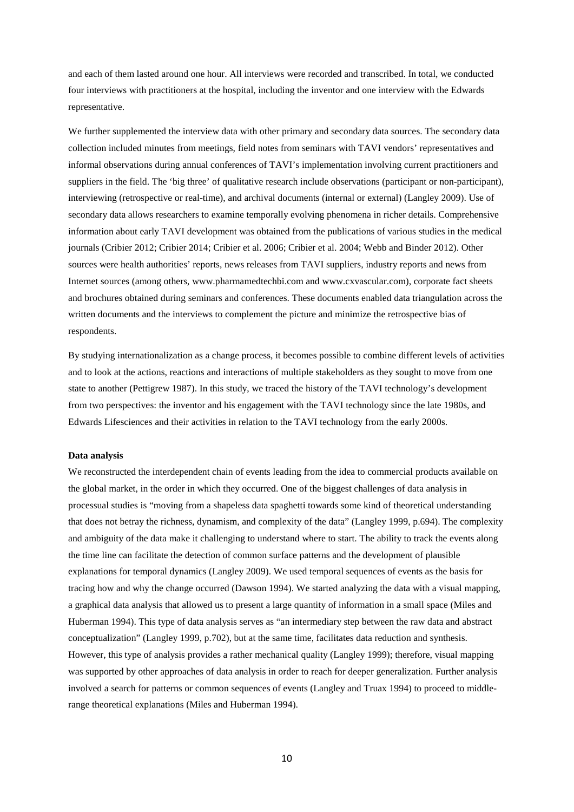and each of them lasted around one hour. All interviews were recorded and transcribed. In total, we conducted four interviews with practitioners at the hospital, including the inventor and one interview with the Edwards representative.

We further supplemented the interview data with other primary and secondary data sources. The secondary data collection included minutes from meetings, field notes from seminars with TAVI vendors' representatives and informal observations during annual conferences of TAVI's implementation involving current practitioners and suppliers in the field. The 'big three' of qualitative research include observations (participant or non-participant), interviewing (retrospective or real-time), and archival documents (internal or external) (Langley 2009). Use of secondary data allows researchers to examine temporally evolving phenomena in richer details. Comprehensive information about early TAVI development was obtained from the publications of various studies in the medical journals (Cribier 2012; Cribier 2014; Cribier et al. 2006; Cribier et al. 2004; Webb and Binder 2012). Other sources were health authorities' reports, news releases from TAVI suppliers, industry reports and news from Internet sources (among others, www.pharmamedtechbi.com and www.cxvascular.com), corporate fact sheets and brochures obtained during seminars and conferences. These documents enabled data triangulation across the written documents and the interviews to complement the picture and minimize the retrospective bias of respondents.

By studying internationalization as a change process, it becomes possible to combine different levels of activities and to look at the actions, reactions and interactions of multiple stakeholders as they sought to move from one state to another (Pettigrew 1987). In this study, we traced the history of the TAVI technology's development from two perspectives: the inventor and his engagement with the TAVI technology since the late 1980s, and Edwards Lifesciences and their activities in relation to the TAVI technology from the early 2000s.

### **Data analysis**

We reconstructed the interdependent chain of events leading from the idea to commercial products available on the global market, in the order in which they occurred. One of the biggest challenges of data analysis in processual studies is "moving from a shapeless data spaghetti towards some kind of theoretical understanding that does not betray the richness, dynamism, and complexity of the data" (Langley 1999, p.694). The complexity and ambiguity of the data make it challenging to understand where to start. The ability to track the events along the time line can facilitate the detection of common surface patterns and the development of plausible explanations for temporal dynamics (Langley 2009). We used temporal sequences of events as the basis for tracing how and why the change occurred (Dawson 1994). We started analyzing the data with a visual mapping, a graphical data analysis that allowed us to present a large quantity of information in a small space (Miles and Huberman 1994). This type of data analysis serves as "an intermediary step between the raw data and abstract conceptualization" (Langley 1999, p.702), but at the same time, facilitates data reduction and synthesis. However, this type of analysis provides a rather mechanical quality (Langley 1999); therefore, visual mapping was supported by other approaches of data analysis in order to reach for deeper generalization. Further analysis involved a search for patterns or common sequences of events (Langley and Truax 1994) to proceed to middlerange theoretical explanations (Miles and Huberman 1994).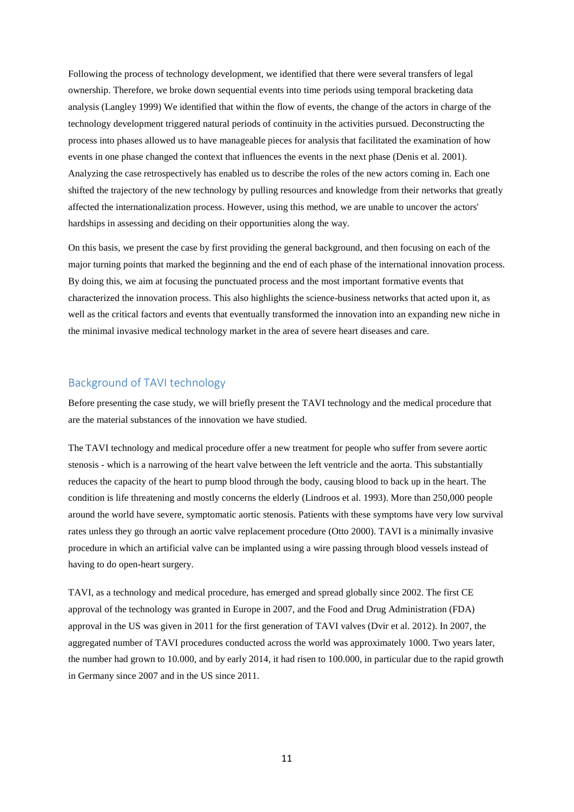Following the process of technology development, we identified that there were several transfers of legal ownership. Therefore, we broke down sequential events into time periods using temporal bracketing data analysis (Langley 1999) We identified that within the flow of events, the change of the actors in charge of the technology development triggered natural periods of continuity in the activities pursued. Deconstructing the process into phases allowed us to have manageable pieces for analysis that facilitated the examination of how events in one phase changed the context that influences the events in the next phase (Denis et al. 2001). Analyzing the case retrospectively has enabled us to describe the roles of the new actors coming in. Each one shifted the trajectory of the new technology by pulling resources and knowledge from their networks that greatly affected the internationalization process. However, using this method, we are unable to uncover the actors' hardships in assessing and deciding on their opportunities along the way.

On this basis, we present the case by first providing the general background, and then focusing on each of the major turning points that marked the beginning and the end of each phase of the international innovation process. By doing this, we aim at focusing the punctuated process and the most important formative events that characterized the innovation process. This also highlights the science-business networks that acted upon it, as well as the critical factors and events that eventually transformed the innovation into an expanding new niche in the minimal invasive medical technology market in the area of severe heart diseases and care.

# Background of TAVI technology

Before presenting the case study, we will briefly present the TAVI technology and the medical procedure that are the material substances of the innovation we have studied.

The TAVI technology and medical procedure offer a new treatment for people who suffer from severe aortic stenosis - which is a narrowing of the heart valve between the left ventricle and the aorta. This substantially reduces the capacity of the heart to pump blood through the body, causing blood to back up in the heart. The condition is life threatening and mostly concerns the elderly (Lindroos et al. 1993). More than 250,000 people around the world have severe, symptomatic aortic stenosis. Patients with these symptoms have very low survival rates unless they go through an aortic valve replacement procedure (Otto 2000). TAVI is a minimally invasive procedure in which an artificial valve can be implanted using a wire passing through blood vessels instead of having to do open-heart surgery.

TAVI, as a technology and medical procedure, has emerged and spread globally since 2002. The first CE approval of the technology was granted in Europe in 2007, and the Food and Drug Administration (FDA) approval in the US was given in 2011 for the first generation of TAVI valves (Dvir et al. 2012). In 2007, the aggregated number of TAVI procedures conducted across the world was approximately 1000. Two years later, the number had grown to 10.000, and by early 2014, it had risen to 100.000, in particular due to the rapid growth in Germany since 2007 and in the US since 2011.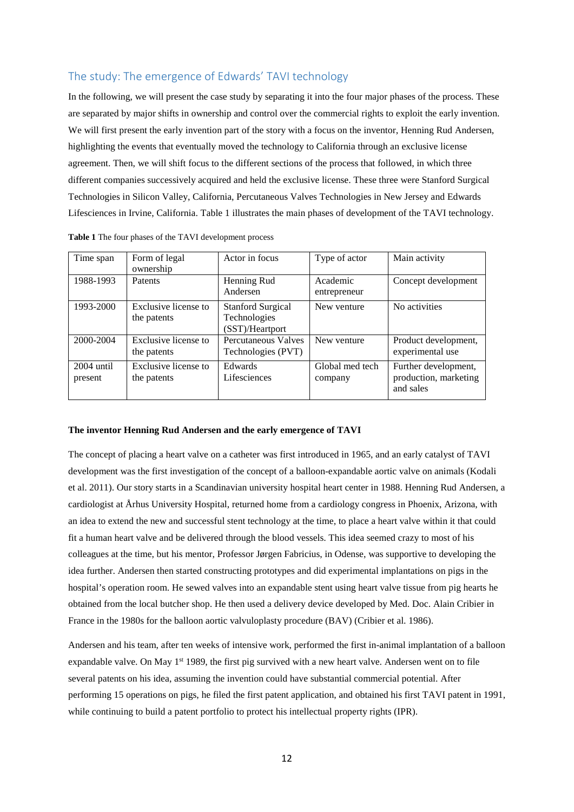# The study: The emergence of Edwards' TAVI technology

In the following, we will present the case study by separating it into the four major phases of the process. These are separated by major shifts in ownership and control over the commercial rights to exploit the early invention. We will first present the early invention part of the story with a focus on the inventor, Henning Rud Andersen, highlighting the events that eventually moved the technology to California through an exclusive license agreement. Then, we will shift focus to the different sections of the process that followed, in which three different companies successively acquired and held the exclusive license. These three were Stanford Surgical Technologies in Silicon Valley, California, Percutaneous Valves Technologies in New Jersey and Edwards Lifesciences in Irvine, California. Table 1 illustrates the main phases of development of the TAVI technology.

| Time span               | Form of legal<br>ownership          | Actor in focus                                              | Type of actor              | Main activity                                              |
|-------------------------|-------------------------------------|-------------------------------------------------------------|----------------------------|------------------------------------------------------------|
| 1988-1993               | <b>Patents</b>                      | Henning Rud<br>Andersen                                     | Academic<br>entrepreneur   | Concept development                                        |
| 1993-2000               | Exclusive license to<br>the patents | <b>Stanford Surgical</b><br>Technologies<br>(SST)/Heartport | New venture                | No activities                                              |
| 2000-2004               | Exclusive license to<br>the patents | Percutaneous Valves<br>Technologies (PVT)                   | New venture                | Product development,<br>experimental use                   |
| $2004$ until<br>present | Exclusive license to<br>the patents | Edwards<br>Lifesciences                                     | Global med tech<br>company | Further development,<br>production, marketing<br>and sales |

**Table 1** The four phases of the TAVI development process

#### **The inventor Henning Rud Andersen and the early emergence of TAVI**

The concept of placing a heart valve on a catheter was first introduced in 1965, and an early catalyst of TAVI development was the first investigation of the concept of a balloon-expandable aortic valve on animals (Kodali et al. 2011). Our story starts in a Scandinavian university hospital heart center in 1988. Henning Rud Andersen, a cardiologist at Århus University Hospital, returned home from a cardiology congress in Phoenix, Arizona, with an idea to extend the new and successful stent technology at the time, to place a heart valve within it that could fit a human heart valve and be delivered through the blood vessels. This idea seemed crazy to most of his colleagues at the time, but his mentor, Professor Jørgen Fabricius, in Odense, was supportive to developing the idea further. Andersen then started constructing prototypes and did experimental implantations on pigs in the hospital's operation room. He sewed valves into an expandable stent using heart valve tissue from pig hearts he obtained from the local butcher shop. He then used a delivery device developed by Med. Doc. Alain Cribier in France in the 1980s for the balloon aortic valvuloplasty procedure (BAV) (Cribier et al. 1986).

Andersen and his team, after ten weeks of intensive work, performed the first in-animal implantation of a balloon expandable valve. On May 1<sup>st</sup> 1989, the first pig survived with a new heart valve. Andersen went on to file several patents on his idea, assuming the invention could have substantial commercial potential. After performing 15 operations on pigs, he filed the first patent application, and obtained his first TAVI patent in 1991, while continuing to build a patent portfolio to protect his intellectual property rights (IPR).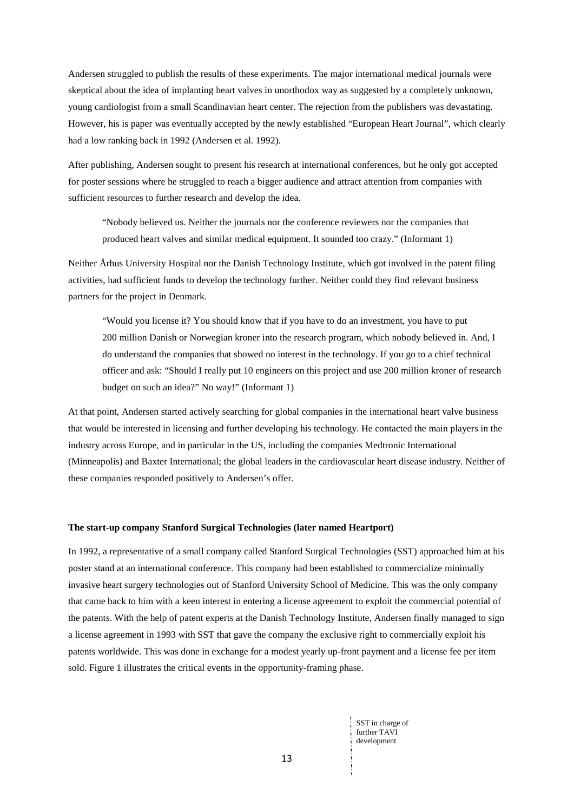Andersen struggled to publish the results of these experiments. The major international medical journals were skeptical about the idea of implanting heart valves in unorthodox way as suggested by a completely unknown, young cardiologist from a small Scandinavian heart center. The rejection from the publishers was devastating. However, his is paper was eventually accepted by the newly established "European Heart Journal", which clearly had a low ranking back in 1992 (Andersen et al. 1992).

After publishing, Andersen sought to present his research at international conferences, but he only got accepted for poster sessions where he struggled to reach a bigger audience and attract attention from companies with sufficient resources to further research and develop the idea.

"Nobody believed us. Neither the journals nor the conference reviewers nor the companies that produced heart valves and similar medical equipment. It sounded too crazy." (Informant 1)

Neither Århus University Hospital nor the Danish Technology Institute, which got involved in the patent filing activities, had sufficient funds to develop the technology further. Neither could they find relevant business partners for the project in Denmark.

"Would you license it? You should know that if you have to do an investment, you have to put 200 million Danish or Norwegian kroner into the research program, which nobody believed in. And, I do understand the companies that showed no interest in the technology. If you go to a chief technical officer and ask: "Should I really put 10 engineers on this project and use 200 million kroner of research budget on such an idea?" No way!" (Informant 1)

At that point, Andersen started actively searching for global companies in the international heart valve business that would be interested in licensing and further developing his technology. He contacted the main players in the industry across Europe, and in particular in the US, including the companies Medtronic International (Minneapolis) and Baxter International; the global leaders in the cardiovascular heart disease industry. Neither of these companies responded positively to Andersen's offer.

### **The start-up company Stanford Surgical Technologies (later named Heartport)**

In 1992, a representative of a small company called Stanford Surgical Technologies (SST) approached him at his poster stand at an international conference. This company had been established to commercialize minimally invasive heart surgery technologies out of Stanford University School of Medicine. This was the only company that came back to him with a keen interest in entering a license agreement to exploit the commercial potential of the patents. With the help of patent experts at the Danish Technology Institute, Andersen finally managed to sign a license agreement in 1993 with SST that gave the company the exclusive right to commercially exploit his patents worldwide. This was done in exchange for a modest yearly up-front payment and a license fee per item sold. Figure 1 illustrates the critical events in the opportunity-framing phase.

> SST in charge of further TAVI development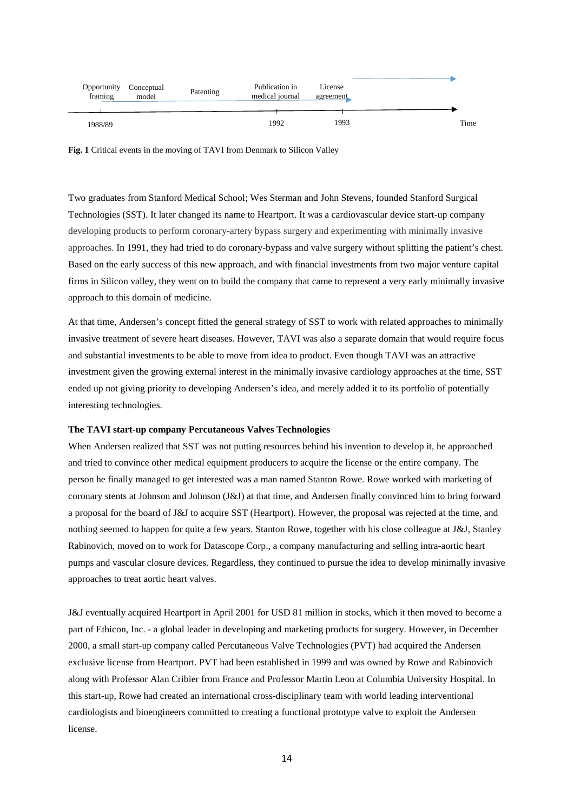| Opportunity<br>framing | Conceptual<br>model | Patenting | Publication in<br>medical journal | License<br>agreement |      |
|------------------------|---------------------|-----------|-----------------------------------|----------------------|------|
| 1988/89                |                     |           | 1992                              | 1993                 | Time |

**Fig. 1** Critical events in the moving of TAVI from Denmark to Silicon Valley

Two graduates from Stanford Medical School; Wes Sterman and John Stevens, founded Stanford Surgical Technologies (SST). It later changed its name to Heartport. It was a cardiovascular device start-up company developing products to perform coronary-artery bypass surgery and experimenting with minimally invasive approaches. In 1991, they had tried to do coronary-bypass and valve surgery without splitting the patient's chest. Based on the early success of this new approach, and with financial investments from two major venture capital firms in Silicon valley, they went on to build the company that came to represent a very early minimally invasive approach to this domain of medicine.

At that time, Andersen's concept fitted the general strategy of SST to work with related approaches to minimally invasive treatment of severe heart diseases. However, TAVI was also a separate domain that would require focus and substantial investments to be able to move from idea to product. Even though TAVI was an attractive investment given the growing external interest in the minimally invasive cardiology approaches at the time, SST ended up not giving priority to developing Andersen's idea, and merely added it to its portfolio of potentially interesting technologies.

#### **The TAVI start-up company Percutaneous Valves Technologies**

When Andersen realized that SST was not putting resources behind his invention to develop it, he approached and tried to convince other medical equipment producers to acquire the license or the entire company. The person he finally managed to get interested was a man named Stanton Rowe. Rowe worked with marketing of coronary stents at Johnson and Johnson (J&J) at that time, and Andersen finally convinced him to bring forward a proposal for the board of J&J to acquire SST (Heartport). However, the proposal was rejected at the time, and nothing seemed to happen for quite a few years. Stanton Rowe, together with his close colleague at J&J, Stanley Rabinovich, moved on to work for Datascope Corp., a company manufacturing and selling intra-aortic heart pumps and vascular closure devices. Regardless, they continued to pursue the idea to develop minimally invasive approaches to treat aortic heart valves.

J&J eventually acquired Heartport in April 2001 for USD 81 million in stocks, which it then moved to become a part of Ethicon, Inc. - a global leader in developing and marketing products for surgery. However, in December 2000, a small start-up company called Percutaneous Valve Technologies (PVT) had acquired the Andersen exclusive license from Heartport. PVT had been established in 1999 and was owned by Rowe and Rabinovich along with Professor Alan Cribier from France and Professor Martin Leon at Columbia University Hospital. In this start-up, Rowe had created an international cross-disciplinary team with world leading interventional cardiologists and bioengineers committed to creating a functional prototype valve to exploit the Andersen license.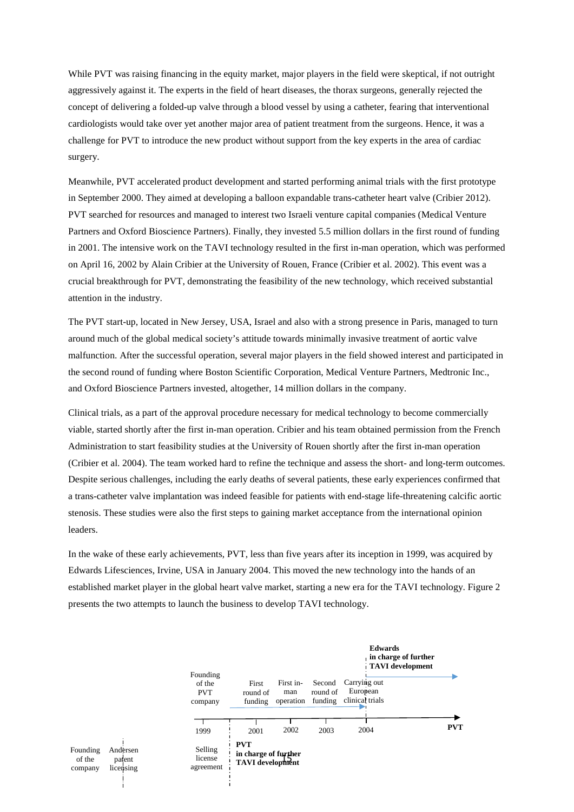While PVT was raising financing in the equity market, major players in the field were skeptical, if not outright aggressively against it. The experts in the field of heart diseases, the thorax surgeons, generally rejected the concept of delivering a folded-up valve through a blood vessel by using a catheter, fearing that interventional cardiologists would take over yet another major area of patient treatment from the surgeons. Hence, it was a challenge for PVT to introduce the new product without support from the key experts in the area of cardiac surgery.

Meanwhile, PVT accelerated product development and started performing animal trials with the first prototype in September 2000. They aimed at developing a balloon expandable trans-catheter heart valve (Cribier 2012). PVT searched for resources and managed to interest two Israeli venture capital companies (Medical Venture Partners and Oxford Bioscience Partners). Finally, they invested 5.5 million dollars in the first round of funding in 2001. The intensive work on the TAVI technology resulted in the first in-man operation, which was performed on April 16, 2002 by [Alain Cribier](http://en.wikipedia.org/wiki/Alain_Cribier) at the University of Rouen, France (Cribier et al. 2002). This event was a crucial breakthrough for PVT, demonstrating the feasibility of the new technology, which received substantial attention in the industry.

The PVT start-up, located in New Jersey, USA, Israel and also with a strong presence in Paris, managed to turn around much of the global medical society's attitude towards minimally invasive treatment of aortic valve malfunction. After the successful operation, several major players in the field showed interest and participated in the second round of funding where Boston Scientific Corporation, Medical Venture Partners, Medtronic Inc., and Oxford Bioscience Partners invested, altogether, 14 million dollars in the company.

Clinical trials, as a part of the approval procedure necessary for medical technology to become commercially viable, started shortly after the first in-man operation. Cribier and his team obtained permission from the French Administration to start feasibility studies at the University of Rouen shortly after the first in-man operation (Cribier et al. 2004). The team worked hard to refine the technique and assess the short- and long-term outcomes. Despite serious challenges, including the early deaths of several patients, these early experiences confirmed that a trans-catheter valve implantation was indeed feasible for patients with end-stage life-threatening calcific aortic stenosis. These studies were also the first steps to gaining market acceptance from the international opinion leaders.

In the wake of these early achievements, PVT, less than five years after its inception in 1999, was acquired by Edwards Lifesciences, Irvine, USA in January 2004. This moved the new technology into the hands of an established market player in the global heart valve market, starting a new era for the TAVI technology. Figure 2 presents the two attempts to launch the business to develop TAVI technology.

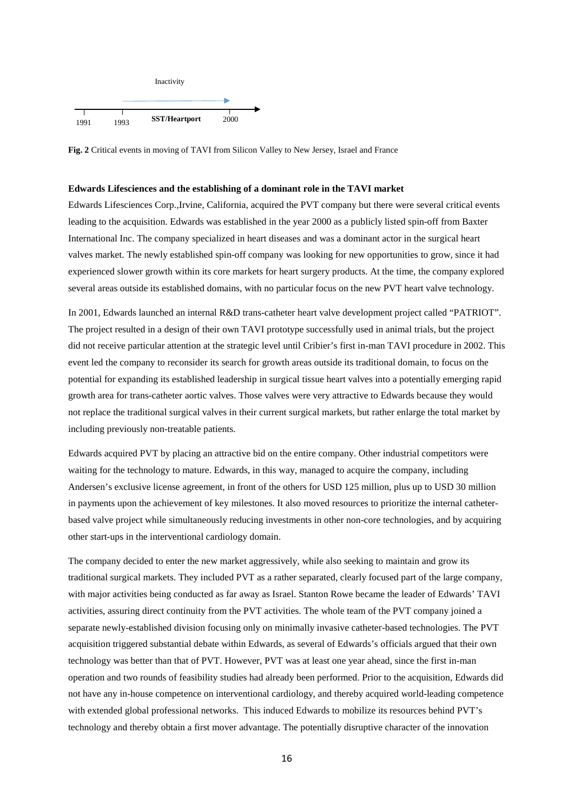

**Fig. 2** Critical events in moving of TAVI from Silicon Valley to New Jersey, Israel and France

#### **Edwards Lifesciences and the establishing of a dominant role in the TAVI market**

Edwards Lifesciences Corp.,Irvine, California, acquired the PVT company but there were several critical events leading to the acquisition. Edwards was established in the year 2000 as a publicly listed spin-off from Baxter International Inc. The company specialized in heart diseases and was a dominant actor in the surgical heart valves market. The newly established spin-off company was looking for new opportunities to grow, since it had experienced slower growth within its core markets for heart surgery products. At the time, the company explored several areas outside its established domains, with no particular focus on the new PVT heart valve technology.

In 2001, Edwards launched an internal R&D trans-catheter heart valve development project called "PATRIOT". The project resulted in a design of their own TAVI prototype successfully used in animal trials, but the project did not receive particular attention at the strategic level until Cribier's first in-man TAVI procedure in 2002. This event led the company to reconsider its search for growth areas outside its traditional domain, to focus on the potential for expanding its established leadership in surgical tissue heart valves into a potentially emerging rapid growth area for trans-catheter aortic valves. Those valves were very attractive to Edwards because they would not replace the traditional surgical valves in their current surgical markets, but rather enlarge the total market by including previously non-treatable patients.

Edwards acquired PVT by placing an attractive bid on the entire company. Other industrial competitors were waiting for the technology to mature. Edwards, in this way, managed to acquire the company, including Andersen's exclusive license agreement, in front of the others for USD 125 million, plus up to USD 30 million in payments upon the achievement of key milestones. It also moved resources to prioritize the internal catheterbased valve project while simultaneously reducing investments in other non-core technologies, and by acquiring other start-ups in the interventional cardiology domain.

The company decided to enter the new market aggressively, while also seeking to maintain and grow its traditional surgical markets. They included PVT as a rather separated, clearly focused part of the large company, with major activities being conducted as far away as Israel. Stanton Rowe became the leader of Edwards' TAVI activities, assuring direct continuity from the PVT activities. The whole team of the PVT company joined a separate newly-established division focusing only on minimally invasive catheter-based technologies. The PVT acquisition triggered substantial debate within Edwards, as several of Edwards's officials argued that their own technology was better than that of PVT. However, PVT was at least one year ahead, since the first in-man operation and two rounds of feasibility studies had already been performed. Prior to the acquisition, Edwards did not have any in-house competence on interventional cardiology, and thereby acquired world-leading competence with extended global professional networks. This induced Edwards to mobilize its resources behind PVT's technology and thereby obtain a first mover advantage. The potentially disruptive character of the innovation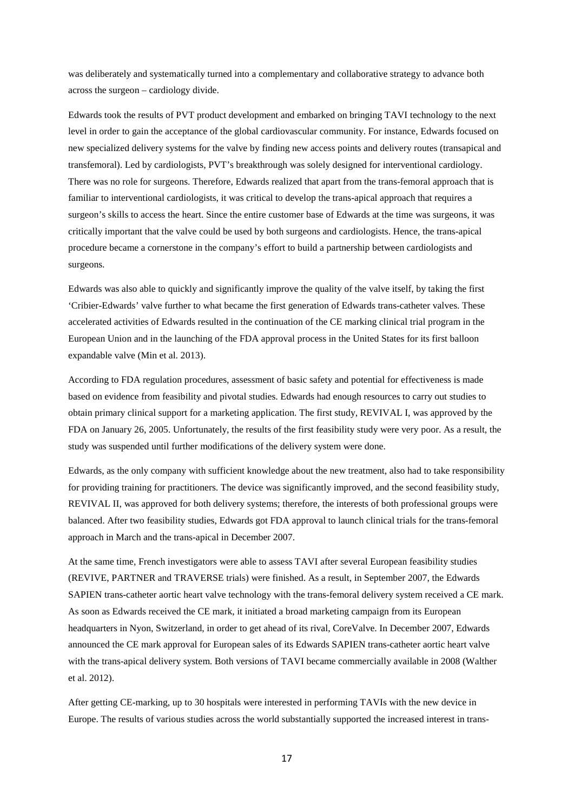was deliberately and systematically turned into a complementary and collaborative strategy to advance both across the surgeon – cardiology divide.

Edwards took the results of PVT product development and embarked on bringing TAVI technology to the next level in order to gain the acceptance of the global cardiovascular community. For instance, Edwards focused on new specialized delivery systems for the valve by finding new access points and delivery routes (transapical and transfemoral). Led by cardiologists, PVT's breakthrough was solely designed for interventional cardiology. There was no role for surgeons. Therefore, Edwards realized that apart from the trans-femoral approach that is familiar to interventional cardiologists, it was critical to develop the trans-apical approach that requires a surgeon's skills to access the heart. Since the entire customer base of Edwards at the time was surgeons, it was critically important that the valve could be used by both surgeons and cardiologists. Hence, the trans-apical procedure became a cornerstone in the company's effort to build a partnership between cardiologists and surgeons.

Edwards was also able to quickly and significantly improve the quality of the valve itself, by taking the first 'Cribier-Edwards' valve further to what became the first generation of Edwards trans-catheter valves. These accelerated activities of Edwards resulted in the continuation of the CE marking clinical trial program in the European Union and in the launching of the FDA approval process in the United States for its first balloon expandable valve (Min et al. 2013).

According to FDA regulation procedures, assessment of basic safety and potential for effectiveness is made based on evidence from feasibility and pivotal studies. Edwards had enough resources to carry out studies to obtain primary clinical support for a marketing application. The first study, REVIVAL I, was approved by the FDA on January 26, 2005. Unfortunately, the results of the first feasibility study were very poor. As a result, the study was suspended until further modifications of the delivery system were done.

Edwards, as the only company with sufficient knowledge about the new treatment, also had to take responsibility for providing training for practitioners. The device was significantly improved, and the second feasibility study, REVIVAL II, was approved for both delivery systems; therefore, the interests of both professional groups were balanced. After two feasibility studies, Edwards got FDA approval to launch clinical trials for the trans-femoral approach in March and the trans-apical in December 2007.

At the same time, French investigators were able to assess TAVI after several European feasibility studies (REVIVE, PARTNER and TRAVERSE trials) were finished. As a result, in September 2007, the Edwards SAPIEN trans-catheter aortic heart valve technology with the trans-femoral delivery system received a CE mark. As soon as Edwards received the CE mark, it initiated a broad marketing campaign from its European headquarters in Nyon, Switzerland, in order to get ahead of its rival, CoreValve. In December 2007, Edwards announced the CE mark approval for European sales of its Edwards SAPIEN trans-catheter aortic heart valve with the trans-apical delivery system. Both versions of TAVI became commercially available in 2008 (Walther et al. 2012).

After getting CE-marking, up to 30 hospitals were interested in performing TAVIs with the new device in Europe. The results of various studies across the world substantially supported the increased interest in trans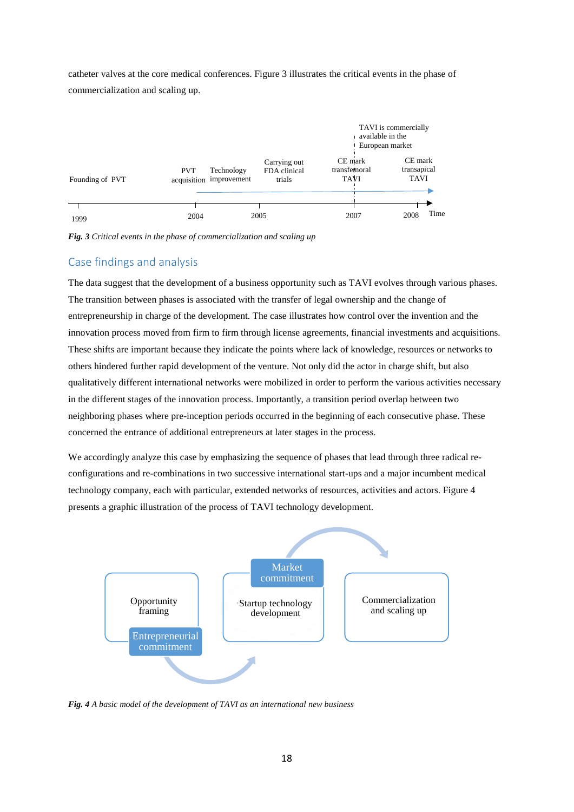catheter valves at the core medical conferences. Figure 3 illustrates the critical events in the phase of commercialization and scaling up.



*Fig. 3 Critical events in the phase of commercialization and scaling up*

# Case findings and analysis

The data suggest that the development of a business opportunity such as TAVI evolves through various phases. The transition between phases is associated with the transfer of legal ownership and the change of entrepreneurship in charge of the development. The case illustrates how control over the invention and the innovation process moved from firm to firm through license agreements, financial investments and acquisitions. These shifts are important because they indicate the points where lack of knowledge, resources or networks to others hindered further rapid development of the venture. Not only did the actor in charge shift, but also qualitatively different international networks were mobilized in order to perform the various activities necessary in the different stages of the innovation process. Importantly, a transition period overlap between two neighboring phases where pre-inception periods occurred in the beginning of each consecutive phase. These concerned the entrance of additional entrepreneurs at later stages in the process.

We accordingly analyze this case by emphasizing the sequence of phases that lead through three radical reconfigurations and re-combinations in two successive international start-ups and a major incumbent medical technology company, each with particular, extended networks of resources, activities and actors. Figure 4 presents a graphic illustration of the process of TAVI technology development.



*Fig. 4 A basic model of the development of TAVI as an international new business*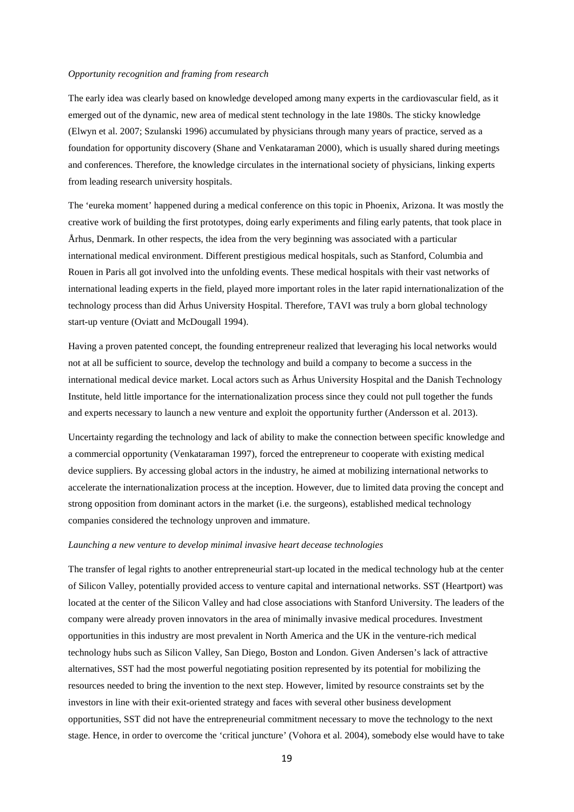### *Opportunity recognition and framing from research*

The early idea was clearly based on knowledge developed among many experts in the cardiovascular field, as it emerged out of the dynamic, new area of medical stent technology in the late 1980s. The sticky knowledge (Elwyn et al. 2007; Szulanski 1996) accumulated by physicians through many years of practice, served as a foundation for opportunity discovery (Shane and Venkataraman 2000), which is usually shared during meetings and conferences. Therefore, the knowledge circulates in the international society of physicians, linking experts from leading research university hospitals.

The 'eureka moment' happened during a medical conference on this topic in Phoenix, Arizona. It was mostly the creative work of building the first prototypes, doing early experiments and filing early patents, that took place in Århus, Denmark. In other respects, the idea from the very beginning was associated with a particular international medical environment. Different prestigious medical hospitals, such as Stanford, Columbia and Rouen in Paris all got involved into the unfolding events. These medical hospitals with their vast networks of international leading experts in the field, played more important roles in the later rapid internationalization of the technology process than did Århus University Hospital. Therefore, TAVI was truly a born global technology start-up venture (Oviatt and McDougall 1994).

Having a proven patented concept, the founding entrepreneur realized that leveraging his local networks would not at all be sufficient to source, develop the technology and build a company to become a success in the international medical device market. Local actors such as Århus University Hospital and the Danish Technology Institute, held little importance for the internationalization process since they could not pull together the funds and experts necessary to launch a new venture and exploit the opportunity further (Andersson et al. 2013).

Uncertainty regarding the technology and lack of ability to make the connection between specific knowledge and a commercial opportunity (Venkataraman 1997), forced the entrepreneur to cooperate with existing medical device suppliers. By accessing global actors in the industry, he aimed at mobilizing international networks to accelerate the internationalization process at the inception. However, due to limited data proving the concept and strong opposition from dominant actors in the market (i.e. the surgeons), established medical technology companies considered the technology unproven and immature.

#### *Launching a new venture to develop minimal invasive heart decease technologies*

The transfer of legal rights to another entrepreneurial start-up located in the medical technology hub at the center of Silicon Valley, potentially provided access to venture capital and international networks. SST (Heartport) was located at the center of the Silicon Valley and had close associations with Stanford University. The leaders of the company were already proven innovators in the area of minimally invasive medical procedures. Investment opportunities in this industry are most prevalent in North America and the UK in the venture-rich medical technology hubs such as Silicon Valley, San Diego, Boston and London. Given Andersen's lack of attractive alternatives, SST had the most powerful negotiating position represented by its potential for mobilizing the resources needed to bring the invention to the next step. However, limited by resource constraints set by the investors in line with their exit-oriented strategy and faces with several other business development opportunities, SST did not have the entrepreneurial commitment necessary to move the technology to the next stage. Hence, in order to overcome the 'critical juncture' (Vohora et al. 2004), somebody else would have to take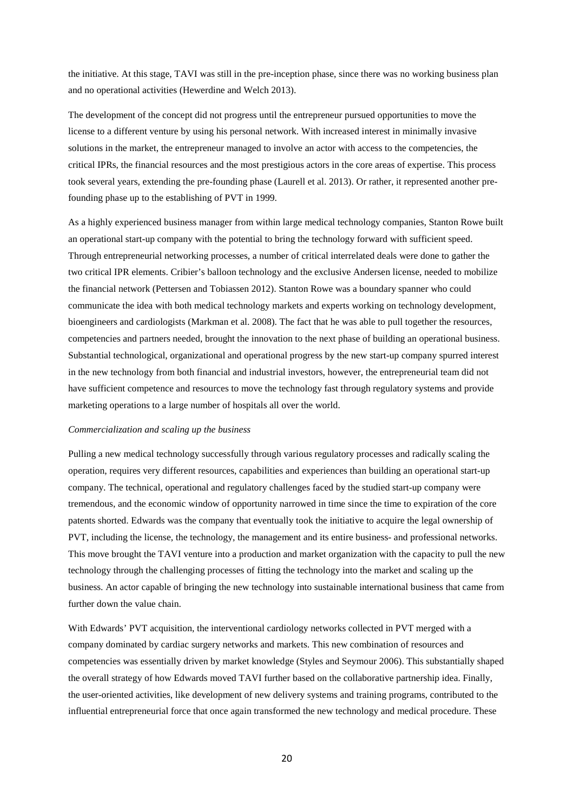the initiative. At this stage, TAVI was still in the pre-inception phase, since there was no working business plan and no operational activities (Hewerdine and Welch 2013).

The development of the concept did not progress until the entrepreneur pursued opportunities to move the license to a different venture by using his personal network. With increased interest in minimally invasive solutions in the market, the entrepreneur managed to involve an actor with access to the competencies, the critical IPRs, the financial resources and the most prestigious actors in the core areas of expertise. This process took several years, extending the pre-founding phase (Laurell et al. 2013). Or rather, it represented another prefounding phase up to the establishing of PVT in 1999.

As a highly experienced business manager from within large medical technology companies, Stanton Rowe built an operational start-up company with the potential to bring the technology forward with sufficient speed. Through entrepreneurial networking processes, a number of critical interrelated deals were done to gather the two critical IPR elements. Cribier's balloon technology and the exclusive Andersen license, needed to mobilize the financial network (Pettersen and Tobiassen 2012). Stanton Rowe was a boundary spanner who could communicate the idea with both medical technology markets and experts working on technology development, bioengineers and cardiologists (Markman et al. 2008). The fact that he was able to pull together the resources, competencies and partners needed, brought the innovation to the next phase of building an operational business. Substantial technological, organizational and operational progress by the new start-up company spurred interest in the new technology from both financial and industrial investors, however, the entrepreneurial team did not have sufficient competence and resources to move the technology fast through regulatory systems and provide marketing operations to a large number of hospitals all over the world.

### *Commercialization and scaling up the business*

Pulling a new medical technology successfully through various regulatory processes and radically scaling the operation, requires very different resources, capabilities and experiences than building an operational start-up company. The technical, operational and regulatory challenges faced by the studied start-up company were tremendous, and the economic window of opportunity narrowed in time since the time to expiration of the core patents shorted. Edwards was the company that eventually took the initiative to acquire the legal ownership of PVT, including the license, the technology, the management and its entire business- and professional networks. This move brought the TAVI venture into a production and market organization with the capacity to pull the new technology through the challenging processes of fitting the technology into the market and scaling up the business. An actor capable of bringing the new technology into sustainable international business that came from further down the value chain.

With Edwards' PVT acquisition, the interventional cardiology networks collected in PVT merged with a company dominated by cardiac surgery networks and markets. This new combination of resources and competencies was essentially driven by market knowledge (Styles and Seymour 2006). This substantially shaped the overall strategy of how Edwards moved TAVI further based on the collaborative partnership idea. Finally, the user-oriented activities, like development of new delivery systems and training programs, contributed to the influential entrepreneurial force that once again transformed the new technology and medical procedure. These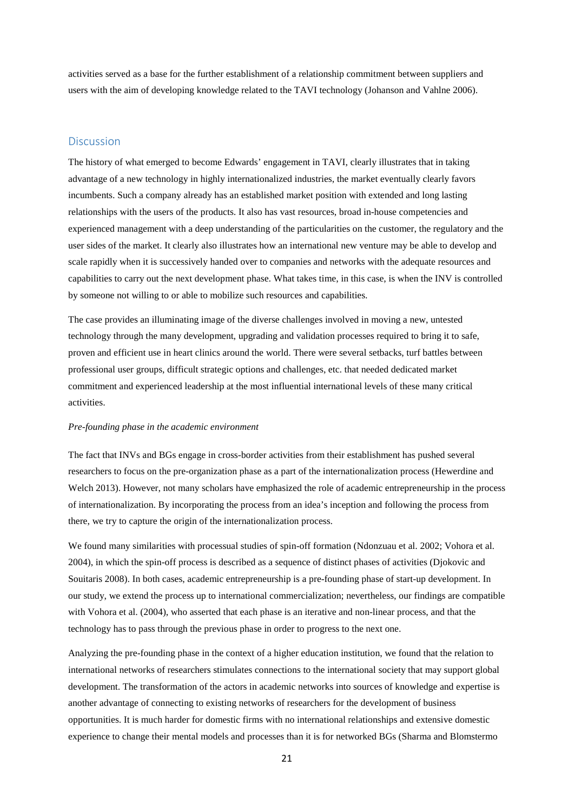activities served as a base for the further establishment of a relationship commitment between suppliers and users with the aim of developing knowledge related to the TAVI technology (Johanson and Vahlne 2006).

# Discussion

The history of what emerged to become Edwards' engagement in TAVI, clearly illustrates that in taking advantage of a new technology in highly internationalized industries, the market eventually clearly favors incumbents. Such a company already has an established market position with extended and long lasting relationships with the users of the products. It also has vast resources, broad in-house competencies and experienced management with a deep understanding of the particularities on the customer, the regulatory and the user sides of the market. It clearly also illustrates how an international new venture may be able to develop and scale rapidly when it is successively handed over to companies and networks with the adequate resources and capabilities to carry out the next development phase. What takes time, in this case, is when the INV is controlled by someone not willing to or able to mobilize such resources and capabilities.

The case provides an illuminating image of the diverse challenges involved in moving a new, untested technology through the many development, upgrading and validation processes required to bring it to safe, proven and efficient use in heart clinics around the world. There were several setbacks, turf battles between professional user groups, difficult strategic options and challenges, etc. that needed dedicated market commitment and experienced leadership at the most influential international levels of these many critical activities.

#### *Pre-founding phase in the academic environment*

The fact that INVs and BGs engage in cross-border activities from their establishment has pushed several researchers to focus on the pre-organization phase as a part of the internationalization process (Hewerdine and Welch 2013). However, not many scholars have emphasized the role of academic entrepreneurship in the process of internationalization. By incorporating the process from an idea's inception and following the process from there, we try to capture the origin of the internationalization process.

We found many similarities with processual studies of spin-off formation (Ndonzuau et al. 2002; Vohora et al. 2004), in which the spin-off process is described as a sequence of distinct phases of activities (Djokovic and Souitaris 2008). In both cases, academic entrepreneurship is a pre-founding phase of start-up development. In our study, we extend the process up to international commercialization; nevertheless, our findings are compatible with Vohora et al. (2004), who asserted that each phase is an iterative and non-linear process, and that the technology has to pass through the previous phase in order to progress to the next one.

Analyzing the pre-founding phase in the context of a higher education institution, we found that the relation to international networks of researchers stimulates connections to the international society that may support global development. The transformation of the actors in academic networks into sources of knowledge and expertise is another advantage of connecting to existing networks of researchers for the development of business opportunities. It is much harder for domestic firms with no international relationships and extensive domestic experience to change their mental models and processes than it is for networked BGs (Sharma and Blomstermo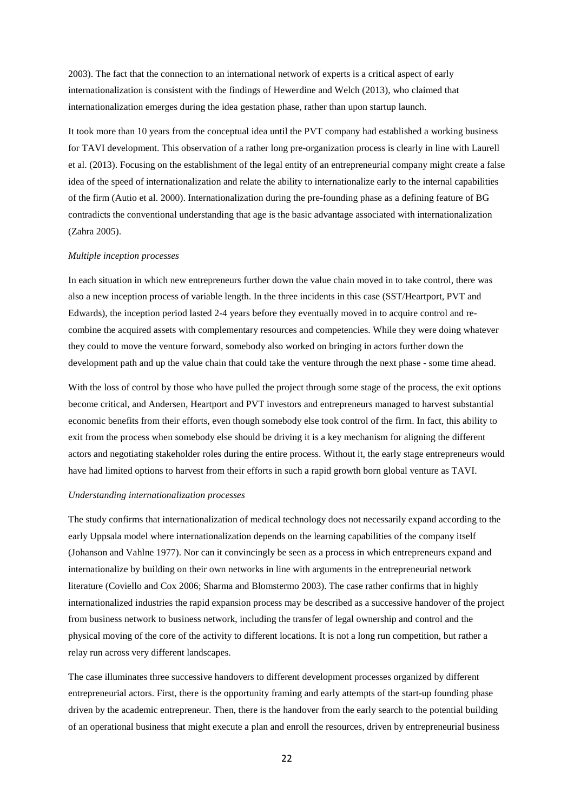2003). The fact that the connection to an international network of experts is a critical aspect of early internationalization is consistent with the findings of Hewerdine and Welch (2013), who claimed that internationalization emerges during the idea gestation phase, rather than upon startup launch.

It took more than 10 years from the conceptual idea until the PVT company had established a working business for TAVI development. This observation of a rather long pre-organization process is clearly in line with Laurell et al. (2013). Focusing on the establishment of the legal entity of an entrepreneurial company might create a false idea of the speed of internationalization and relate the ability to internationalize early to the internal capabilities of the firm (Autio et al. 2000). Internationalization during the pre-founding phase as a defining feature of BG contradicts the conventional understanding that age is the basic advantage associated with internationalization (Zahra 2005).

### *Multiple inception processes*

In each situation in which new entrepreneurs further down the value chain moved in to take control, there was also a new inception process of variable length. In the three incidents in this case (SST/Heartport, PVT and Edwards), the inception period lasted 2-4 years before they eventually moved in to acquire control and recombine the acquired assets with complementary resources and competencies. While they were doing whatever they could to move the venture forward, somebody also worked on bringing in actors further down the development path and up the value chain that could take the venture through the next phase - some time ahead.

With the loss of control by those who have pulled the project through some stage of the process, the exit options become critical, and Andersen, Heartport and PVT investors and entrepreneurs managed to harvest substantial economic benefits from their efforts, even though somebody else took control of the firm. In fact, this ability to exit from the process when somebody else should be driving it is a key mechanism for aligning the different actors and negotiating stakeholder roles during the entire process. Without it, the early stage entrepreneurs would have had limited options to harvest from their efforts in such a rapid growth born global venture as TAVI.

#### *Understanding internationalization processes*

The study confirms that internationalization of medical technology does not necessarily expand according to the early Uppsala model where internationalization depends on the learning capabilities of the company itself (Johanson and Vahlne 1977). Nor can it convincingly be seen as a process in which entrepreneurs expand and internationalize by building on their own networks in line with arguments in the entrepreneurial network literature (Coviello and Cox 2006; Sharma and Blomstermo 2003). The case rather confirms that in highly internationalized industries the rapid expansion process may be described as a successive handover of the project from business network to business network, including the transfer of legal ownership and control and the physical moving of the core of the activity to different locations. It is not a long run competition, but rather a relay run across very different landscapes.

The case illuminates three successive handovers to different development processes organized by different entrepreneurial actors. First, there is the opportunity framing and early attempts of the start-up founding phase driven by the academic entrepreneur. Then, there is the handover from the early search to the potential building of an operational business that might execute a plan and enroll the resources, driven by entrepreneurial business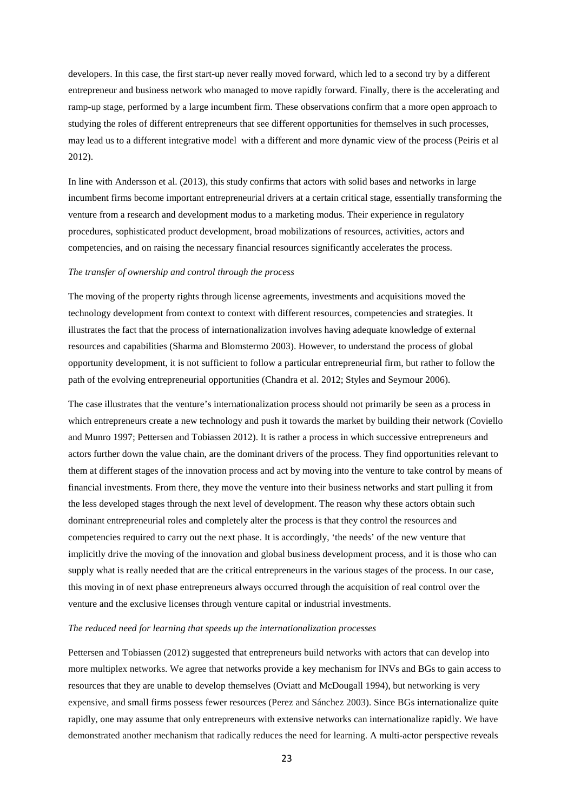developers. In this case, the first start-up never really moved forward, which led to a second try by a different entrepreneur and business network who managed to move rapidly forward. Finally, there is the accelerating and ramp-up stage, performed by a large incumbent firm. These observations confirm that a more open approach to studying the roles of different entrepreneurs that see different opportunities for themselves in such processes, may lead us to a different integrative model with a different and more dynamic view of the process (Peiris et al 2012).

In line with Andersson et al. (2013), this study confirms that actors with solid bases and networks in large incumbent firms become important entrepreneurial drivers at a certain critical stage, essentially transforming the venture from a research and development modus to a marketing modus. Their experience in regulatory procedures, sophisticated product development, broad mobilizations of resources, activities, actors and competencies, and on raising the necessary financial resources significantly accelerates the process.

### *The transfer of ownership and control through the process*

The moving of the property rights through license agreements, investments and acquisitions moved the technology development from context to context with different resources, competencies and strategies. It illustrates the fact that the process of internationalization involves having adequate knowledge of external resources and capabilities (Sharma and Blomstermo 2003). However, to understand the process of global opportunity development, it is not sufficient to follow a particular entrepreneurial firm, but rather to follow the path of the evolving entrepreneurial opportunities (Chandra et al. 2012; Styles and Seymour 2006).

The case illustrates that the venture's internationalization process should not primarily be seen as a process in which entrepreneurs create a new technology and push it towards the market by building their network (Coviello and Munro 1997; Pettersen and Tobiassen 2012). It is rather a process in which successive entrepreneurs and actors further down the value chain, are the dominant drivers of the process. They find opportunities relevant to them at different stages of the innovation process and act by moving into the venture to take control by means of financial investments. From there, they move the venture into their business networks and start pulling it from the less developed stages through the next level of development. The reason why these actors obtain such dominant entrepreneurial roles and completely alter the process is that they control the resources and competencies required to carry out the next phase. It is accordingly, 'the needs' of the new venture that implicitly drive the moving of the innovation and global business development process, and it is those who can supply what is really needed that are the critical entrepreneurs in the various stages of the process. In our case, this moving in of next phase entrepreneurs always occurred through the acquisition of real control over the venture and the exclusive licenses through venture capital or industrial investments.

## *The reduced need for learning that speeds up the internationalization processes*

Pettersen and Tobiassen (2012) suggested that entrepreneurs build networks with actors that can develop into more multiplex networks. We agree that networks provide a key mechanism for INVs and BGs to gain access to resources that they are unable to develop themselves (Oviatt and McDougall 1994), but networking is very expensive, and small firms possess fewer resources (Perez and Sánchez 2003). Since BGs internationalize quite rapidly, one may assume that only entrepreneurs with extensive networks can internationalize rapidly. We have demonstrated another mechanism that radically reduces the need for learning. A multi-actor perspective reveals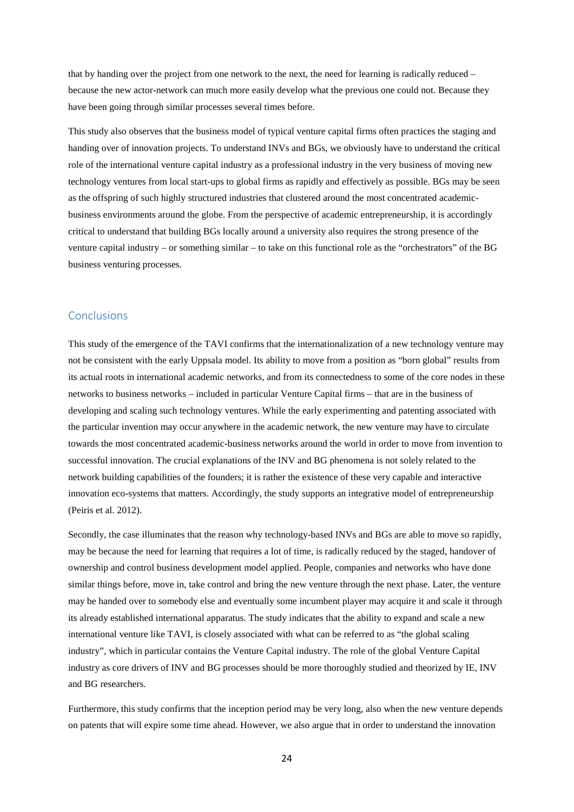that by handing over the project from one network to the next, the need for learning is radically reduced – because the new actor-network can much more easily develop what the previous one could not. Because they have been going through similar processes several times before.

This study also observes that the business model of typical venture capital firms often practices the staging and handing over of innovation projects. To understand INVs and BGs, we obviously have to understand the critical role of the international venture capital industry as a professional industry in the very business of moving new technology ventures from local start-ups to global firms as rapidly and effectively as possible. BGs may be seen as the offspring of such highly structured industries that clustered around the most concentrated academicbusiness environments around the globe. From the perspective of academic entrepreneurship, it is accordingly critical to understand that building BGs locally around a university also requires the strong presence of the venture capital industry – or something similar – to take on this functional role as the "orchestrators" of the BG business venturing processes.

# Conclusions

This study of the emergence of the TAVI confirms that the internationalization of a new technology venture may not be consistent with the early Uppsala model. Its ability to move from a position as "born global" results from its actual roots in international academic networks, and from its connectedness to some of the core nodes in these networks to business networks – included in particular Venture Capital firms – that are in the business of developing and scaling such technology ventures. While the early experimenting and patenting associated with the particular invention may occur anywhere in the academic network, the new venture may have to circulate towards the most concentrated academic-business networks around the world in order to move from invention to successful innovation. The crucial explanations of the INV and BG phenomena is not solely related to the network building capabilities of the founders; it is rather the existence of these very capable and interactive innovation eco-systems that matters. Accordingly, the study supports an integrative model of entrepreneurship (Peiris et al. 2012).

Secondly, the case illuminates that the reason why technology-based INVs and BGs are able to move so rapidly, may be because the need for learning that requires a lot of time, is radically reduced by the staged, handover of ownership and control business development model applied. People, companies and networks who have done similar things before, move in, take control and bring the new venture through the next phase. Later, the venture may be handed over to somebody else and eventually some incumbent player may acquire it and scale it through its already established international apparatus. The study indicates that the ability to expand and scale a new international venture like TAVI, is closely associated with what can be referred to as "the global scaling industry", which in particular contains the Venture Capital industry. The role of the global Venture Capital industry as core drivers of INV and BG processes should be more thoroughly studied and theorized by IE, INV and BG researchers.

Furthermore, this study confirms that the inception period may be very long, also when the new venture depends on patents that will expire some time ahead. However, we also argue that in order to understand the innovation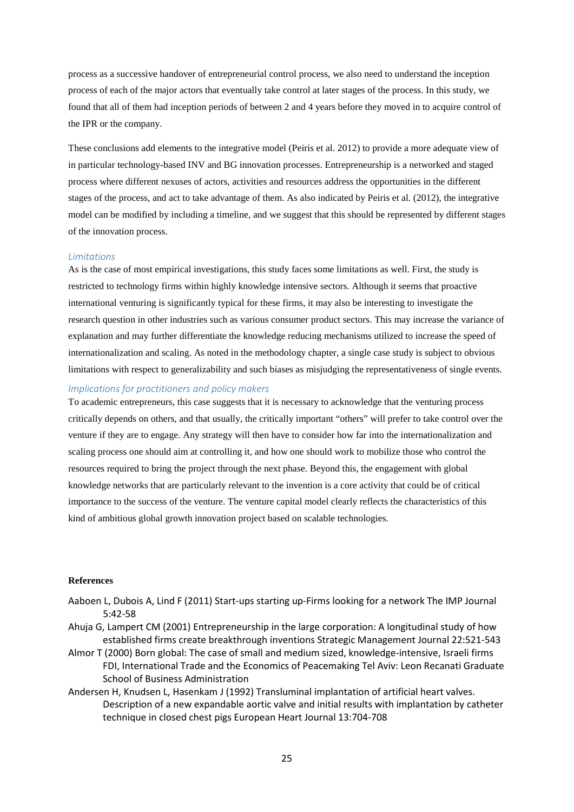process as a successive handover of entrepreneurial control process, we also need to understand the inception process of each of the major actors that eventually take control at later stages of the process. In this study, we found that all of them had inception periods of between 2 and 4 years before they moved in to acquire control of the IPR or the company.

These conclusions add elements to the integrative model (Peiris et al. 2012) to provide a more adequate view of in particular technology-based INV and BG innovation processes. Entrepreneurship is a networked and staged process where different nexuses of actors, activities and resources address the opportunities in the different stages of the process, and act to take advantage of them. As also indicated by Peiris et al. (2012), the integrative model can be modified by including a timeline, and we suggest that this should be represented by different stages of the innovation process.

#### *Limitations*

As is the case of most empirical investigations, this study faces some limitations as well. First, the study is restricted to technology firms within highly knowledge intensive sectors. Although it seems that proactive international venturing is significantly typical for these firms, it may also be interesting to investigate the research question in other industries such as various consumer product sectors. This may increase the variance of explanation and may further differentiate the knowledge reducing mechanisms utilized to increase the speed of internationalization and scaling. As noted in the methodology chapter, a single case study is subject to obvious limitations with respect to generalizability and such biases as misjudging the representativeness of single events.

# *Implications for practitioners and policy makers*

To academic entrepreneurs, this case suggests that it is necessary to acknowledge that the venturing process critically depends on others, and that usually, the critically important "others" will prefer to take control over the venture if they are to engage. Any strategy will then have to consider how far into the internationalization and scaling process one should aim at controlling it, and how one should work to mobilize those who control the resources required to bring the project through the next phase. Beyond this, the engagement with global knowledge networks that are particularly relevant to the invention is a core activity that could be of critical importance to the success of the venture. The venture capital model clearly reflects the characteristics of this kind of ambitious global growth innovation project based on scalable technologies.

### **References**

- Aaboen L, Dubois A, Lind F (2011) Start-ups starting up-Firms looking for a network The IMP Journal 5:42-58
- Ahuja G, Lampert CM (2001) Entrepreneurship in the large corporation: A longitudinal study of how established firms create breakthrough inventions Strategic Management Journal 22:521-543
- Almor T (2000) Born global: The case of small and medium sized, knowledge-intensive, Israeli firms FDI, International Trade and the Economics of Peacemaking Tel Aviv: Leon Recanati Graduate School of Business Administration
- Andersen H, Knudsen L, Hasenkam J (1992) Transluminal implantation of artificial heart valves. Description of a new expandable aortic valve and initial results with implantation by catheter technique in closed chest pigs European Heart Journal 13:704-708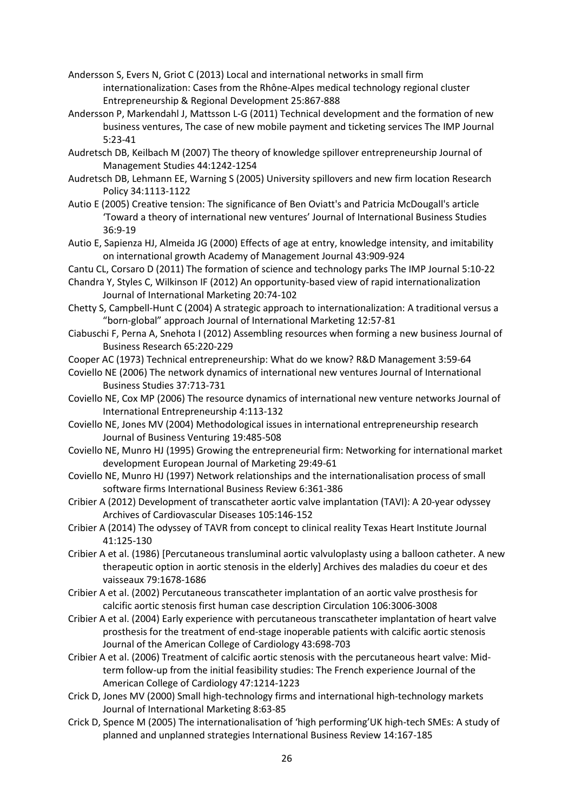- Andersson S, Evers N, Griot C (2013) Local and international networks in small firm internationalization: Cases from the Rhône-Alpes medical technology regional cluster Entrepreneurship & Regional Development 25:867-888
- Andersson P, Markendahl J, Mattsson L-G (2011) Technical development and the formation of new business ventures, The case of new mobile payment and ticketing services The IMP Journal 5:23-41
- Audretsch DB, Keilbach M (2007) The theory of knowledge spillover entrepreneurship Journal of Management Studies 44:1242-1254
- Audretsch DB, Lehmann EE, Warning S (2005) University spillovers and new firm location Research Policy 34:1113-1122
- Autio E (2005) Creative tension: The significance of Ben Oviatt's and Patricia McDougall's article 'Toward a theory of international new ventures' Journal of International Business Studies 36:9-19
- Autio E, Sapienza HJ, Almeida JG (2000) Effects of age at entry, knowledge intensity, and imitability on international growth Academy of Management Journal 43:909-924
- Cantu CL, Corsaro D (2011) The formation of science and technology parks The IMP Journal 5:10-22
- Chandra Y, Styles C, Wilkinson IF (2012) An opportunity-based view of rapid internationalization Journal of International Marketing 20:74-102
- Chetty S, Campbell-Hunt C (2004) A strategic approach to internationalization: A traditional versus a "born-global" approach Journal of International Marketing 12:57-81
- Ciabuschi F, Perna A, Snehota I (2012) Assembling resources when forming a new business Journal of Business Research 65:220-229
- Cooper AC (1973) Technical entrepreneurship: What do we know? R&D Management 3:59-64
- Coviello NE (2006) The network dynamics of international new ventures Journal of International Business Studies 37:713-731
- Coviello NE, Cox MP (2006) The resource dynamics of international new venture networks Journal of International Entrepreneurship 4:113-132
- Coviello NE, Jones MV (2004) Methodological issues in international entrepreneurship research Journal of Business Venturing 19:485-508
- Coviello NE, Munro HJ (1995) Growing the entrepreneurial firm: Networking for international market development European Journal of Marketing 29:49-61
- Coviello NE, Munro HJ (1997) Network relationships and the internationalisation process of small software firms International Business Review 6:361-386
- Cribier A (2012) Development of transcatheter aortic valve implantation (TAVI): A 20-year odyssey Archives of Cardiovascular Diseases 105:146-152
- Cribier A (2014) The odyssey of TAVR from concept to clinical reality Texas Heart Institute Journal 41:125-130
- Cribier A et al. (1986) [Percutaneous transluminal aortic valvuloplasty using a balloon catheter. A new therapeutic option in aortic stenosis in the elderly] Archives des maladies du coeur et des vaisseaux 79:1678-1686
- Cribier A et al. (2002) Percutaneous transcatheter implantation of an aortic valve prosthesis for calcific aortic stenosis first human case description Circulation 106:3006-3008
- Cribier A et al. (2004) Early experience with percutaneous transcatheter implantation of heart valve prosthesis for the treatment of end-stage inoperable patients with calcific aortic stenosis Journal of the American College of Cardiology 43:698-703
- Cribier A et al. (2006) Treatment of calcific aortic stenosis with the percutaneous heart valve: Midterm follow-up from the initial feasibility studies: The French experience Journal of the American College of Cardiology 47:1214-1223
- Crick D, Jones MV (2000) Small high-technology firms and international high-technology markets Journal of International Marketing 8:63-85
- Crick D, Spence M (2005) The internationalisation of 'high performing'UK high-tech SMEs: A study of planned and unplanned strategies International Business Review 14:167-185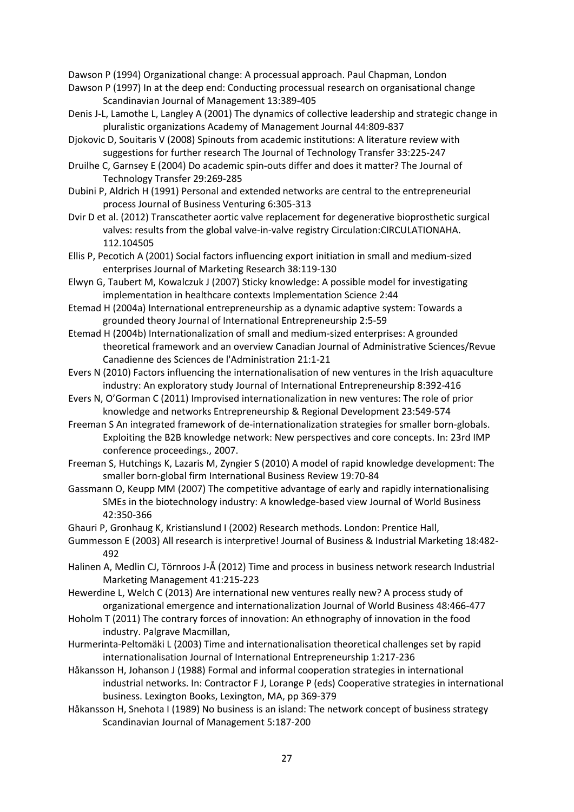Dawson P (1994) Organizational change: A processual approach. Paul Chapman, London

- Dawson P (1997) In at the deep end: Conducting processual research on organisational change Scandinavian Journal of Management 13:389-405
- Denis J-L, Lamothe L, Langley A (2001) The dynamics of collective leadership and strategic change in pluralistic organizations Academy of Management Journal 44:809-837
- Djokovic D, Souitaris V (2008) Spinouts from academic institutions: A literature review with suggestions for further research The Journal of Technology Transfer 33:225-247
- Druilhe C, Garnsey E (2004) Do academic spin-outs differ and does it matter? The Journal of Technology Transfer 29:269-285
- Dubini P, Aldrich H (1991) Personal and extended networks are central to the entrepreneurial process Journal of Business Venturing 6:305-313
- Dvir D et al. (2012) Transcatheter aortic valve replacement for degenerative bioprosthetic surgical valves: results from the global valve-in-valve registry Circulation:CIRCULATIONAHA. 112.104505
- Ellis P, Pecotich A (2001) Social factors influencing export initiation in small and medium-sized enterprises Journal of Marketing Research 38:119-130
- Elwyn G, Taubert M, Kowalczuk J (2007) Sticky knowledge: A possible model for investigating implementation in healthcare contexts Implementation Science 2:44
- Etemad H (2004a) International entrepreneurship as a dynamic adaptive system: Towards a grounded theory Journal of International Entrepreneurship 2:5-59
- Etemad H (2004b) Internationalization of small and medium-sized enterprises: A grounded theoretical framework and an overview Canadian Journal of Administrative Sciences/Revue Canadienne des Sciences de l'Administration 21:1-21
- Evers N (2010) Factors influencing the internationalisation of new ventures in the Irish aquaculture industry: An exploratory study Journal of International Entrepreneurship 8:392-416
- Evers N, O'Gorman C (2011) Improvised internationalization in new ventures: The role of prior knowledge and networks Entrepreneurship & Regional Development 23:549-574
- Freeman S An integrated framework of de-internationalization strategies for smaller born-globals. Exploiting the B2B knowledge network: New perspectives and core concepts. In: 23rd IMP conference proceedings., 2007.
- Freeman S, Hutchings K, Lazaris M, Zyngier S (2010) A model of rapid knowledge development: The smaller born-global firm International Business Review 19:70-84
- Gassmann O, Keupp MM (2007) The competitive advantage of early and rapidly internationalising SMEs in the biotechnology industry: A knowledge-based view Journal of World Business 42:350-366
- Ghauri P, Gronhaug K, Kristianslund I (2002) Research methods. London: Prentice Hall,
- Gummesson E (2003) All research is interpretive! Journal of Business & Industrial Marketing 18:482- 492
- Halinen A, Medlin CJ, Törnroos J-Å (2012) Time and process in business network research Industrial Marketing Management 41:215-223
- Hewerdine L, Welch C (2013) Are international new ventures really new? A process study of organizational emergence and internationalization Journal of World Business 48:466-477
- Hoholm T (2011) The contrary forces of innovation: An ethnography of innovation in the food industry. Palgrave Macmillan,
- Hurmerinta-Peltomäki L (2003) Time and internationalisation theoretical challenges set by rapid internationalisation Journal of International Entrepreneurship 1:217-236
- Håkansson H, Johanson J (1988) Formal and informal cooperation strategies in international industrial networks. In: Contractor F J, Lorange P (eds) Cooperative strategies in international business. Lexington Books, Lexington, MA, pp 369-379
- Håkansson H, Snehota I (1989) No business is an island: The network concept of business strategy Scandinavian Journal of Management 5:187-200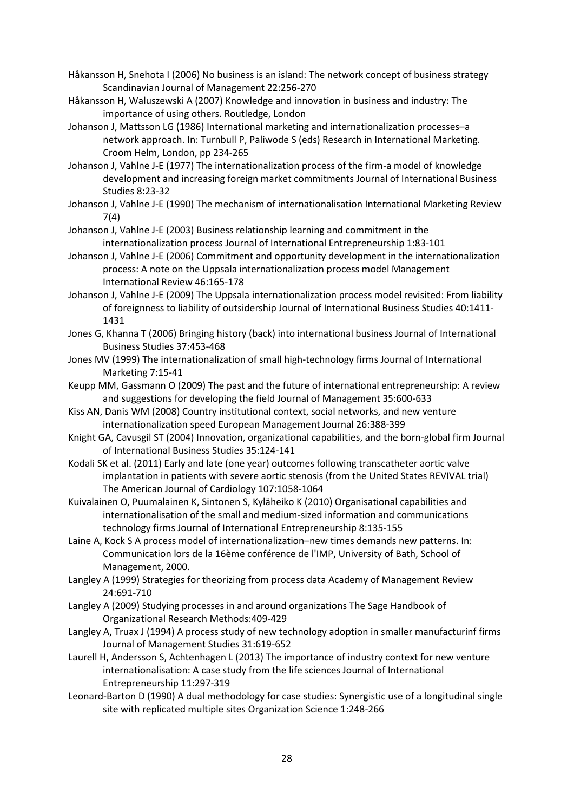- Håkansson H, Snehota I (2006) No business is an island: The network concept of business strategy Scandinavian Journal of Management 22:256-270
- Håkansson H, Waluszewski A (2007) Knowledge and innovation in business and industry: The importance of using others. Routledge, London
- Johanson J, Mattsson LG (1986) International marketing and internationalization processes–a network approach. In: Turnbull P, Paliwode S (eds) Research in International Marketing. Croom Helm, London, pp 234-265
- Johanson J, Vahlne J-E (1977) The internationalization process of the firm-a model of knowledge development and increasing foreign market commitments Journal of International Business Studies 8:23-32
- Johanson J, Vahlne J-E (1990) The mechanism of internationalisation International Marketing Review 7(4)
- Johanson J, Vahlne J-E (2003) Business relationship learning and commitment in the internationalization process Journal of International Entrepreneurship 1:83-101
- Johanson J, Vahlne J-E (2006) Commitment and opportunity development in the internationalization process: A note on the Uppsala internationalization process model Management International Review 46:165-178
- Johanson J, Vahlne J-E (2009) The Uppsala internationalization process model revisited: From liability of foreignness to liability of outsidership Journal of International Business Studies 40:1411- 1431
- Jones G, Khanna T (2006) Bringing history (back) into international business Journal of International Business Studies 37:453-468
- Jones MV (1999) The internationalization of small high-technology firms Journal of International Marketing 7:15-41
- Keupp MM, Gassmann O (2009) The past and the future of international entrepreneurship: A review and suggestions for developing the field Journal of Management 35:600-633
- Kiss AN, Danis WM (2008) Country institutional context, social networks, and new venture internationalization speed European Management Journal 26:388-399
- Knight GA, Cavusgil ST (2004) Innovation, organizational capabilities, and the born-global firm Journal of International Business Studies 35:124-141
- Kodali SK et al. (2011) Early and late (one year) outcomes following transcatheter aortic valve implantation in patients with severe aortic stenosis (from the United States REVIVAL trial) The American Journal of Cardiology 107:1058-1064
- Kuivalainen O, Puumalainen K, Sintonen S, Kyläheiko K (2010) Organisational capabilities and internationalisation of the small and medium-sized information and communications technology firms Journal of International Entrepreneurship 8:135-155
- Laine A, Kock S A process model of internationalization–new times demands new patterns. In: Communication lors de la 16ème conférence de l'IMP, University of Bath, School of Management, 2000.
- Langley A (1999) Strategies for theorizing from process data Academy of Management Review 24:691-710
- Langley A (2009) Studying processes in and around organizations The Sage Handbook of Organizational Research Methods:409-429
- Langley A, Truax J (1994) A process study of new technology adoption in smaller manufacturinf firms Journal of Management Studies 31:619-652
- Laurell H, Andersson S, Achtenhagen L (2013) The importance of industry context for new venture internationalisation: A case study from the life sciences Journal of International Entrepreneurship 11:297-319
- Leonard-Barton D (1990) A dual methodology for case studies: Synergistic use of a longitudinal single site with replicated multiple sites Organization Science 1:248-266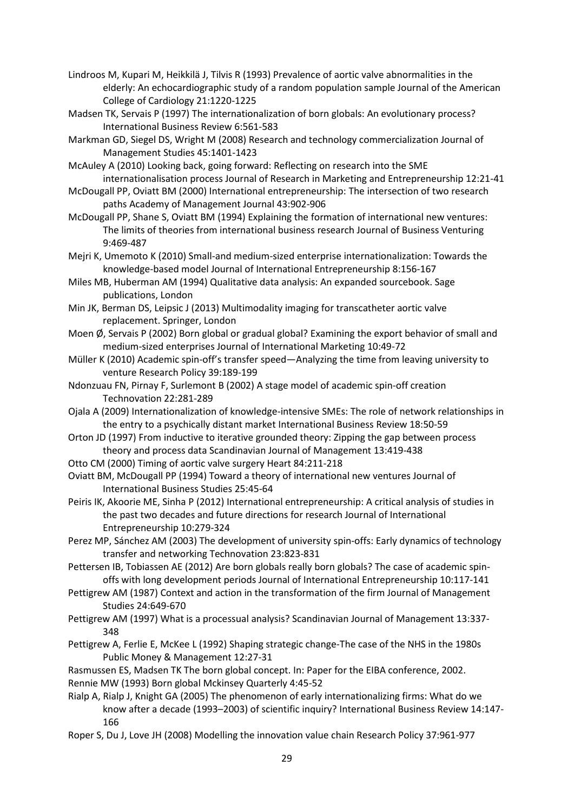Lindroos M, Kupari M, Heikkilä J, Tilvis R (1993) Prevalence of aortic valve abnormalities in the elderly: An echocardiographic study of a random population sample Journal of the American College of Cardiology 21:1220-1225

- Madsen TK, Servais P (1997) The internationalization of born globals: An evolutionary process? International Business Review 6:561-583
- Markman GD, Siegel DS, Wright M (2008) Research and technology commercialization Journal of Management Studies 45:1401-1423
- McAuley A (2010) Looking back, going forward: Reflecting on research into the SME internationalisation process Journal of Research in Marketing and Entrepreneurship 12:21-41
- McDougall PP, Oviatt BM (2000) International entrepreneurship: The intersection of two research paths Academy of Management Journal 43:902-906
- McDougall PP, Shane S, Oviatt BM (1994) Explaining the formation of international new ventures: The limits of theories from international business research Journal of Business Venturing 9:469-487
- Mejri K, Umemoto K (2010) Small-and medium-sized enterprise internationalization: Towards the knowledge-based model Journal of International Entrepreneurship 8:156-167
- Miles MB, Huberman AM (1994) Qualitative data analysis: An expanded sourcebook. Sage publications, London
- Min JK, Berman DS, Leipsic J (2013) Multimodality imaging for transcatheter aortic valve replacement. Springer, London
- Moen Ø, Servais P (2002) Born global or gradual global? Examining the export behavior of small and medium-sized enterprises Journal of International Marketing 10:49-72
- Müller K (2010) Academic spin-off's transfer speed—Analyzing the time from leaving university to venture Research Policy 39:189-199
- Ndonzuau FN, Pirnay F, Surlemont B (2002) A stage model of academic spin-off creation Technovation 22:281-289
- Ojala A (2009) Internationalization of knowledge-intensive SMEs: The role of network relationships in the entry to a psychically distant market International Business Review 18:50-59
- Orton JD (1997) From inductive to iterative grounded theory: Zipping the gap between process theory and process data Scandinavian Journal of Management 13:419-438
- Otto CM (2000) Timing of aortic valve surgery Heart 84:211-218
- Oviatt BM, McDougall PP (1994) Toward a theory of international new ventures Journal of International Business Studies 25:45-64
- Peiris IK, Akoorie ME, Sinha P (2012) International entrepreneurship: A critical analysis of studies in the past two decades and future directions for research Journal of International Entrepreneurship 10:279-324
- Perez MP, Sánchez AM (2003) The development of university spin-offs: Early dynamics of technology transfer and networking Technovation 23:823-831
- Pettersen IB, Tobiassen AE (2012) Are born globals really born globals? The case of academic spinoffs with long development periods Journal of International Entrepreneurship 10:117-141
- Pettigrew AM (1987) Context and action in the transformation of the firm Journal of Management Studies 24:649-670
- Pettigrew AM (1997) What is a processual analysis? Scandinavian Journal of Management 13:337- 348
- Pettigrew A, Ferlie E, McKee L (1992) Shaping strategic change-The case of the NHS in the 1980s Public Money & Management 12:27-31

Rasmussen ES, Madsen TK The born global concept. In: Paper for the EIBA conference, 2002. Rennie MW (1993) Born global Mckinsey Quarterly 4:45-52

- Rialp A, Rialp J, Knight GA (2005) The phenomenon of early internationalizing firms: What do we know after a decade (1993–2003) of scientific inquiry? International Business Review 14:147- 166
- Roper S, Du J, Love JH (2008) Modelling the innovation value chain Research Policy 37:961-977